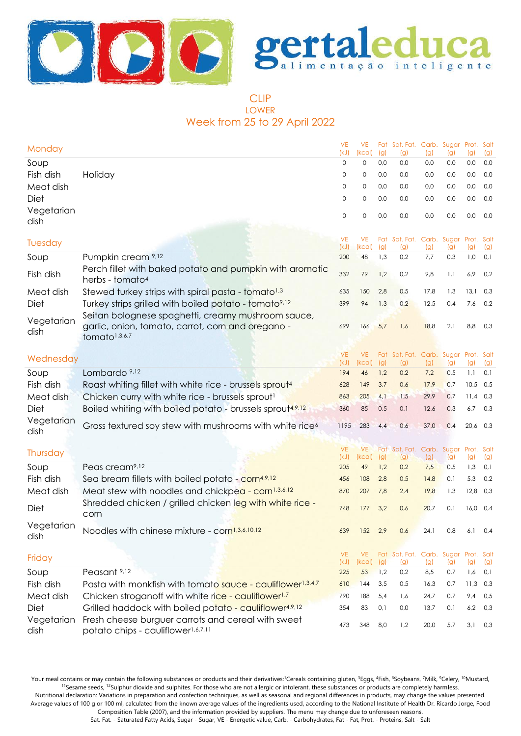



# CLIP LOWER Week from 25 to 29 April 2022

| Monday             |                                                                                                      | <b>VE</b><br>(kJ) | <b>VE</b><br>(kcal) | (g) | Fat Sat. Fat. Carb. Sugar<br>(g)     | (g)  | (g) | Prot. Salt<br>(q) | (g) |
|--------------------|------------------------------------------------------------------------------------------------------|-------------------|---------------------|-----|--------------------------------------|------|-----|-------------------|-----|
| Soup               |                                                                                                      | 0                 | 0                   | 0,0 | 0,0                                  | 0,0  | 0,0 | 0,0               | 0,0 |
| Fish dish          | Holiday                                                                                              | 0                 | 0                   | 0,0 | 0,0                                  | 0,0  | 0,0 | 0,0               | 0,0 |
| Meat dish          |                                                                                                      | 0                 | 0                   | 0,0 | 0,0                                  | 0,0  | 0,0 | 0,0               | 0,0 |
| Diet               |                                                                                                      | 0                 | 0                   | 0,0 | 0,0                                  | 0,0  | 0,0 | 0,0               | 0,0 |
| Vegetarian         |                                                                                                      | 0                 | 0                   | 0,0 | 0,0                                  | 0,0  | 0,0 | 0,0               | 0,0 |
| dish               |                                                                                                      |                   |                     |     |                                      |      |     |                   |     |
|                    |                                                                                                      | <b>VE</b>         | <b>VE</b>           | Fat | Sat. Fat. Carb. Sugar                |      |     | Prot. Salt        |     |
| Tuesday            |                                                                                                      | (kJ)              | (kcal)              | (g) | (g)                                  | (g)  | (g) | (g)               | (g) |
| Soup               | Pumpkin cream 9,12                                                                                   | 200               | 48                  | 1,3 | 0,2                                  | 7,7  | 0,3 | 1,0               | 0,1 |
| Fish dish          | Perch fillet with baked potato and pumpkin with aromatic<br>herbs - tomato <sup>4</sup>              | 332               | 79                  | 1,2 | 0,2                                  | 9,8  | 1,1 | 6,9               | 0,2 |
| Meat dish          | Stewed turkey strips with spiral pasta - tomato <sup>1,3</sup>                                       | 635               | 150                 | 2,8 | 0,5                                  | 17,8 | 1,3 | 13,1              | 0,3 |
| Diet               | Turkey strips grilled with boiled potato - tomato <sup>9,12</sup>                                    | 399               | 94                  | 1,3 | 0,2                                  | 12,5 | 0,4 | 7,6               | 0,2 |
|                    | Seitan bolognese spaghetti, creamy mushroom sauce,                                                   |                   |                     |     |                                      |      |     |                   |     |
| Vegetarian<br>dish | garlic, onion, tomato, carrot, corn and oregano -                                                    | 699               | 166                 | 5,7 | 1,6                                  | 18,8 | 2,1 | 8,8               | 0,3 |
|                    | tomato <sup>1,3,6,7</sup>                                                                            |                   |                     |     |                                      |      |     |                   |     |
|                    |                                                                                                      | <b>VE</b>         | VE.                 |     | Fat Sat. Fat. Carb. Sugar Prot. Salt |      |     |                   |     |
| Wednesday          |                                                                                                      | (kJ)              | (kcal)              | (g) | (g)                                  | (g)  | (g) | (g)               | (g) |
| Soup               | Lombardo 9,12                                                                                        | 194               | 46                  | 1,2 | 0,2                                  | 7,2  | 0,5 | 1,1               | 0,1 |
| Fish dish          | Roast whiting fillet with white rice - brussels sprout <sup>4</sup>                                  | 628               | 149                 | 3,7 | 0,6                                  | 17,9 | 0,7 | 10,5              | 0,5 |
| Meat dish          | Chicken curry with white rice - brussels sprout <sup>1</sup>                                         | 863               | 205                 | 4,1 | 1,5                                  | 29,9 | 0,7 | 11,4              | 0,3 |
| Diet               | Boiled whiting with boiled potato - brussels sprout <sup>4,9,12</sup>                                | 360               | 85                  | 0,5 | 0,1                                  | 12,6 | 0,3 | 6,7               | 0,3 |
| Vegetarian<br>dish | Gross textured soy stew with mushrooms with white rice <sup>6</sup>                                  | 1195              | 283                 | 4,4 | 0,6                                  | 37,0 | 0,4 | 20,6 0,3          |     |
|                    |                                                                                                      | <b>VE</b>         | <b>VE</b>           |     | Fat Sat. Fat. Carb. Sugar            |      |     | Prot. Salt        |     |
| Thursday           |                                                                                                      | (kJ)              | (kcal)              | (g) | (g)                                  | (g)  | (g) | (g)               | (g) |
| Soup               | Peas cream <sup>9,12</sup>                                                                           | 205               | 49                  | 1,2 | 0,2                                  | 7,5  | 0,5 | 1,3               | 0,1 |
| Fish dish          | Sea bream fillets with boiled potato - corn <sup>4,9,12</sup>                                        | 456               | 108                 | 2,8 | 0,5                                  | 14,8 | 0,1 | 5,3               | 0,2 |
| Meat dish          | Meat stew with noodles and chickpea - corn <sup>1,3,6,12</sup>                                       | 870               | 207                 | 7,8 | 2,4                                  | 19,8 | 1,3 | 12,8              | 0,3 |
| Diet               | Shredded chicken / grilled chicken leg with white rice -<br>corn                                     | 748               | 177                 | 3,2 | 0,6                                  | 20,7 | 0,1 | $16,0$ 0,4        |     |
| Vegetarian<br>dish | Noodles with chinese mixture - corn <sup>1,3,6,10,12</sup>                                           | 639               | 152                 | 2,9 | 0,6                                  | 24,1 | 0,8 | 6, 1              | 0,4 |
|                    |                                                                                                      | <b>VE</b>         | VE.                 |     | Fat Sat. Fat. Carb. Sugar Prot. Salt |      |     |                   |     |
| Friday             |                                                                                                      | (kJ)              | (kcal)              | (g) | (g)                                  | (g)  | (g) | (g)               | (g) |
| Soup               | Peasant <sup>9,12</sup>                                                                              | 225               | 53                  | 1,2 | 0,2                                  | 8,5  | 0,7 | 1,6               | 0,1 |
| Fish dish          | Pasta with monkfish with tomato sauce - cauliflower <sup>1,3,4,7</sup>                               | 610               | 144                 | 3,5 | 0,5                                  | 16,3 | 0,7 | 11,3              | 0,3 |
| Meat dish          | Chicken stroganoff with white rice - cauliflower <sup>1,7</sup>                                      | 790               | 188                 | 5,4 | 1,6                                  | 24,7 | 0,7 | 9,4               | 0,5 |
| Diet               | Grilled haddock with boiled potato - cauliflower <sup>4,9,12</sup>                                   | 354               | 83                  | 0,1 | 0,0                                  | 13,7 | 0,1 | 6,2               | 0,3 |
| Vegetarian<br>dish | Fresh cheese burguer carrots and cereal with sweet<br>potato chips - cauliflower <sup>1,6,7,11</sup> | 473               | 348                 | 8,0 | 1,2                                  | 20,0 | 5,7 | 3,1               | 0,3 |

Your meal contains or may contain the following substances or products and their derivatives:<sup>1</sup>Cereals containing gluten, <sup>3</sup>Eggs, <sup>4</sup>Fish, <sup>6</sup>Soybeans, <sup>7</sup>Milk, <sup>9</sup>Celery, <sup>10</sup>Mustard, <sup>11</sup>Sesame seeds, <sup>12</sup>Sulphur dioxide and sulphites. For those who are not allergic or intolerant, these substances or products are completely harmless.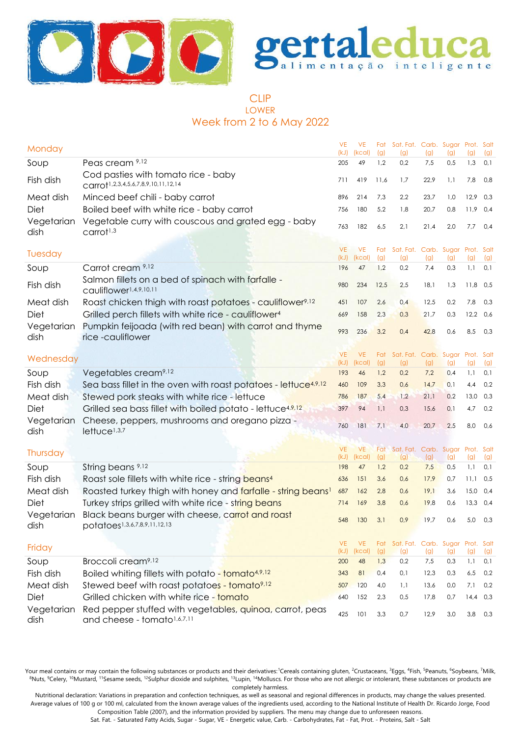



# CLIP LOWER Week from 2 to 6 May 2022

| Monday             |                                                                                              | <b>VE</b><br>(kJ) | <b>VE</b><br>(kcal) | Fat<br>(g) | Sat. Fat. Carb. Sugar Prot. Salt<br>(g) | (g)          | (g)        | (g)          | (g)        |
|--------------------|----------------------------------------------------------------------------------------------|-------------------|---------------------|------------|-----------------------------------------|--------------|------------|--------------|------------|
| Soup               | Peas cream 9,12                                                                              | 205               | 49                  | 1,2        | 0,2                                     | 7,5          | 0,5        | 1,3          | 0,1        |
| Fish dish          | Cod pasties with tomato rice - baby<br>Carrot <sup>1,2,3,4,5,6,7,8,9,10,11,12,14</sup>       | 711               | 419                 | 11,6       | 1,7                                     | 22,9         | 1,1        | 7,8          | 0,8        |
| Meat dish          | Minced beef chili - baby carrot                                                              | 896               | 214                 | 7,3        | 2,2                                     | 23,7         | 1,0        | 12,9         | 0,3        |
| Diet               | Boiled beef with white rice - baby carrot                                                    | 756               | 180                 | 5,2        | 1,8                                     | 20,7         | 0,8        | 11,9         | 0,4        |
| Vegetarian<br>dish | Vegetable curry with couscous and grated egg - baby<br>$c$ arrot <sup><math>1,3</math></sup> | 763               | 182                 | 6,5        | 2,1                                     | 21,4         | 2,0        | 7,7          | 0,4        |
| Tuesday            |                                                                                              | <b>VE</b><br>(kJ) | <b>VE</b><br>(kcal) | Fat<br>(g) | Sat. Fat. Carb. Sugar Prot. Salt<br>(g) | (g)          | (g)        | (g)          | (g)        |
| Soup               | Carrot cream 9,12                                                                            | 196               | 47                  | 1,2        | 0,2                                     | 7,4          | 0,3        | 1,1          | 0,1        |
| Fish dish          | Salmon fillets on a bed of spinach with farfalle -<br>cauliflower1,4,9,10,11                 | 980               | 234                 | 12,5       | 2,5                                     | 18,1         | 1,3        | 11,8         | 0,5        |
| Meat dish          | Roast chicken thigh with roast potatoes - cauliflower <sup>9,12</sup>                        | 451               | 107                 | 2,6        | 0,4                                     | 12,5         | 0,2        | 7,8          | 0,3        |
| Diet               | Grilled perch fillets with white rice - cauliflower <sup>4</sup>                             | 669               | 158                 | 2,3        | 0,3                                     | 21,7         | 0,3        | 12,2         | 0,6        |
| Vegetarian<br>dish | Pumpkin feijoada (with red bean) with carrot and thyme<br>rice-cauliflower                   | 993               | 236                 | 3,2        | 0,4                                     | 42,8         | 0,6        | 8,5          | 0,3        |
|                    |                                                                                              | <b>VE</b>         | <b>VE</b>           | Fat        | Sat. Fat. Carb. Sugar Prot. Salt        |              |            |              |            |
| Wednesday          |                                                                                              | (kJ)              | (kcal)              | (g)        | (g)                                     | (g)          | (g)        | (g)          | (g)        |
| Soup               | Vegetables cream <sup>9,12</sup>                                                             | 193               | 46                  | 1,2        | 0,2                                     | 7,2          | 0,4        | 1,1          | 0,1        |
| Fish dish          | Sea bass fillet in the oven with roast potatoes - lettuce <sup>4,9,12</sup>                  | 460               | 109                 | 3,3        | 0,6                                     | 14,7         | 0,1        | 4,4          | 0,2        |
| Meat dish          | Stewed pork steaks with white rice - lettuce                                                 | 786               | 187                 | 5,4        | 1,2                                     | 21,1         | 0,2        | 13,0         | 0,3        |
| Diet               | Grilled sea bass fillet with boiled potato - lettuce <sup>4,9,12</sup>                       | 397               | 94                  | 1,1        | 0,3                                     | 15,6         | 0,1        | 4,7          | 0,2        |
| Vegetarian<br>dish | Cheese, peppers, mushrooms and oregano pizza -<br>lettuce <sup>1,3,7</sup>                   | 760               | 181                 | 7,1        | 4,0                                     | 20,7         | 2,5        | 8,0          | 0,6        |
| Thursday           |                                                                                              | <b>VE</b>         | <b>VE</b>           | Fat        | Sat. Fat. Carb. Sugar Prot. Salt        |              |            |              |            |
|                    |                                                                                              | (kJ)              | (kcal)              | (g)        | (g)                                     | (g)          | (g)        | (g)          | (g)        |
| Soup               | String beans 9,12                                                                            | 198               | 47                  | 1,2        | 0,2                                     | 7,5          | 0,5        | 1,1          | 0,1        |
| Fish dish          | Roast sole fillets with white rice - string beans <sup>4</sup>                               | 636               | 151                 | 3,6        | 0,6                                     | 17,9         | 0,7        | 11,1         | 0,5        |
| Meat dish<br>Diet  | Roasted turkey thigh with honey and farfalle - string beans!                                 | 687<br>714        | 162                 | 2,8<br>3,8 | 0,6<br>0,6                              | 19,1<br>19,8 | 3,6<br>0,6 | 15,0<br>13,3 | 0,4<br>0,4 |
|                    | Turkey strips grilled with white rice - string beans                                         |                   | 169                 |            |                                         |              |            |              |            |
| Vegetarian<br>dish | Black beans burger with cheese, carrot and roast<br>potatoes1,3,6,7,8,9,11,12,13             | 548               | 130                 | 3,1        | 0,9                                     | 19,7         | 0,6        | 5,0          | 0,3        |
| Friday             |                                                                                              | VE.               | <b>VE</b>           | Fat        | Sat. Fat. Carb. Sugar Prot. Salt        |              |            |              |            |
| Soup               | Broccoli cream <sup>9,12</sup>                                                               | (kJ)<br>200       | (kcal)<br>48        | (g)<br>1,3 | (g)<br>0,2                              | (g)<br>7,5   | (g)<br>0,3 | (g)<br>1,1   | (g)<br>0,1 |
| Fish dish          | Boiled whiting fillets with potato - tomato <sup>4,9,12</sup>                                | 343               | 81                  | 0,4        | 0,1                                     | 12,3         | 0,3        | 6,5          | 0,2        |
| Meat dish          | Stewed beef with roast potatoes - tomato <sup>9,12</sup>                                     | 507               | 120                 | 4,0        | 1,1                                     | 13,6         | 0,0        | 7,1          | 0,2        |
| Diet               | Grilled chicken with white rice - tomato                                                     | 640               | 152                 | 2,3        | 0,5                                     | 17,8         | 0,7        | 14,4         | 0,3        |
| Vegetarian         | Red pepper stuffed with vegetables, quinoa, carrot, peas                                     |                   |                     |            |                                         |              |            |              |            |
| dish               | and cheese - tomato1,6,7,11                                                                  | 425               | 101                 | 3,3        | 0,7                                     | 12,9         | 3,0        | 3,8          | 0,3        |

Your meal contains or may contain the following substances or products and their derivatives:<sup>1</sup>Cereals containing gluten, <sup>2</sup>Crustaceans, <sup>3</sup>Eggs, <sup>4</sup>Fish, <sup>5</sup>Peanuts, <sup>6</sup>Soybeans, <sup>7</sup>Milk, <sup>8</sup>Nuts, <sup>9</sup>Celery, <sup>10</sup>Mustard, <sup>11</sup>Sesame seeds, <sup>12</sup>Sulphur dioxide and sulphites, <sup>13</sup>Lupin, <sup>14</sup>Molluscs. For those who are not allergic or intolerant, these substances or products are completely harmless.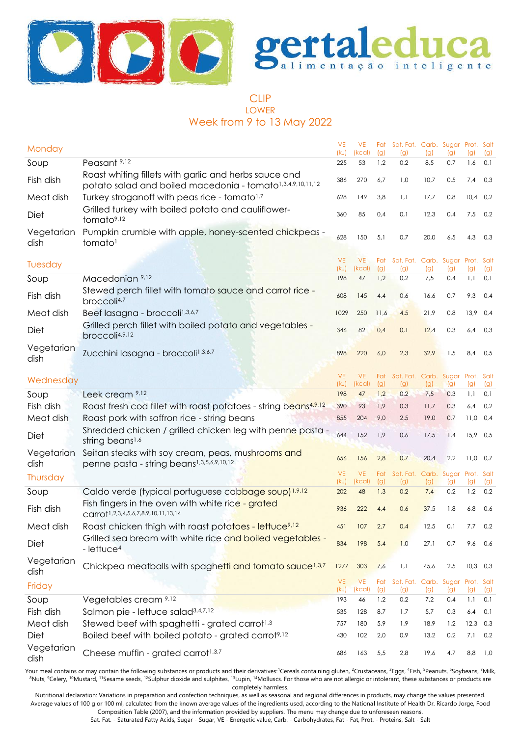



# CLIP LOWER Week from 9 to 13 May 2022

| Monday             |                                                                                                                     | <b>VE</b><br>(kJ) | <b>VE</b><br>(kcal) | (g)        | Fat Sat. Fat. Carb. Sugar Prot. Salt<br>(g) | (g)        | (q)                     | (g)               | (g)        |
|--------------------|---------------------------------------------------------------------------------------------------------------------|-------------------|---------------------|------------|---------------------------------------------|------------|-------------------------|-------------------|------------|
| Soup               | Peasant <sup>9,12</sup>                                                                                             | 225               | 53                  | 1,2        | 0,2                                         | 8,5        | 0,7                     | 1,6               | 0,1        |
| Fish dish          | Roast whiting fillets with garlic and herbs sauce and<br>potato salad and boiled macedonia - tomato1,3,4,9,10,11,12 | 386               | 270                 | 6,7        | 1,0                                         | 10,7       | 0,5                     | 7,4               | 0,3        |
| Meat dish          | Turkey stroganoff with peas rice - tomato <sup>1,7</sup>                                                            | 628               | 149                 | 3,8        | 1,1                                         | 17,7       | 0,8                     | $10,4$ 0,2        |            |
| Diet               | Grilled turkey with boiled potato and cauliflower-<br>tomato <sup>9,12</sup>                                        | 360               | 85                  | 0,4        | 0,1                                         | 12,3       | 0,4                     | 7,5               | 0,2        |
| Vegetarian<br>dish | Pumpkin crumble with apple, honey-scented chickpeas -<br>tomato <sup>1</sup>                                        | 628               | 150                 | 5,1        | 0,7                                         | 20,0       | 6,5                     | 4,3               | 0,3        |
| Tuesday            |                                                                                                                     | <b>VE</b>         | <b>VE</b>           | Fat        | Sat. Fat. Carb. Sugar Prot. Salt            |            |                         |                   |            |
| Soup               | Macedonian 9,12                                                                                                     | (kJ)<br>198       | (kcal)<br>47        | (g)<br>1,2 | (g)<br>0,2                                  | (g)<br>7,5 | (g)<br>0,4              | (g)<br>1,1        | (g)<br>0,1 |
| Fish dish          | Stewed perch fillet with tomato sauce and carrot rice -<br>broccoli <sup>4,7</sup>                                  | 608               | 145                 | 4,4        | 0,6                                         | 16,6       | 0,7                     | 9,3               | 0,4        |
| Meat dish          | Beef lasagna - broccoli <sup>1,3,6,7</sup>                                                                          | 1029              | 250                 | 11,6       | 4,5                                         | 21,9       | 0,8                     | $13,9$ 0,4        |            |
| Diet               | Grilled perch fillet with boiled potato and vegetables -<br>broccoli4,9,12                                          | 346               | 82                  | 0,4        | 0,1                                         | 12,4       | 0,3                     | 6,4               | 0,3        |
| Vegetarian<br>dish | Zucchini lasagna - broccoli <sup>1,3,6,7</sup>                                                                      | 898               | 220                 | 6,0        | 2,3                                         | 32,9       | 1,5                     | 8,4               | 0,5        |
| Wednesday          |                                                                                                                     | <b>VE</b>         | <b>VE</b>           |            | Fat Sat. Fat. Carb. Sugar Prot. Salt        |            |                         |                   |            |
|                    | Leek cream 9,12                                                                                                     | (kJ)<br>198       | (kcal)<br>47        | (g)<br>1,2 | (g)<br>0,2                                  | (g)<br>7,5 | (g)<br>0,3              | (g)<br>1,1        | (g)<br>0,1 |
| Soup<br>Fish dish  | Roast fresh cod fillet with roast potatoes - string beans4,9,12                                                     | 390               | 93                  | 1,9        | 0,3                                         | 11,7       | 0,3                     | 6,4               | 0,2        |
| Meat dish          | Roast pork with saffron rice - string beans                                                                         | 855               | 204                 | 9,0        | 2,5                                         | 19,0       | 0,7                     | 11,0              | 0,4        |
| Diet               | Shredded chicken / grilled chicken leg with penne pasta -<br>string beans <sup>1,6</sup>                            | 644               | 152                 | 1,9        | 0,6                                         | 17,5       | 1,4                     | 15,9 0,5          |            |
| Vegetarian<br>dish | Seitan steaks with soy cream, peas, mushrooms and<br>penne pasta - string beans <sup>1,3,5,6,9,10,12</sup>          | 656               | 156                 | 2,8        | 0,7                                         | 20,4       | 2,2                     | $11,0$ 0,7        |            |
| Thursday           |                                                                                                                     | <b>VE</b><br>(kJ) | <b>VE</b><br>(kcal) | Fat<br>(g) | Sat. Fat. Carb.<br>(g)                      | (g)        | Sugar<br>(g)            | Prot. Salt<br>(g) | (g)        |
| Soup               | Caldo verde (typical portuguese cabbage soup) <sup>1,9,12</sup>                                                     | 202               | 48                  | 1,3        | 0,2                                         | 7,4        | 0,2                     | 1,2               | 0,2        |
| Fish dish          | Fish fingers in the oven with white rice - grated<br>Carrot <sup>1,2,3,4,5,6,7,8,9,10,11,13,14</sup>                | 936               | 222                 | 4,4        | 0,6                                         | 37,5       | 1,8                     | 6,8               | 0,6        |
| Meat dish          | Roast chicken thigh with roast potatoes - lettuce <sup>9,12</sup>                                                   | 451               | 107                 | 2,7        | 0,4                                         | 12,5       | 0,1                     | 7,7               | 0,2        |
| Diet               | Grilled sea bream with white rice and boiled vegetables -<br>- lettuce <sup>4</sup>                                 | 834               | 198                 | 5,4        | 1,0                                         | 27,1       | 0,7                     | 9,6               | 0,6        |
| Vegetarian<br>dish | Chickpea meatballs with spaghetti and tomato sauce <sup>1,3,7</sup>                                                 | 1277              | 303                 | 7,6        | 1,1                                         | 45,6       | 2,5                     | $10,3$ 0,3        |            |
| Friday             |                                                                                                                     | <b>VE</b><br>(kJ) | <b>VE</b><br>(kcal) | (g)        | Fat Sat. Fat. Carb.<br>(g)                  | (g)        | Sugar Prot. Salt<br>(g) | (g)               | (g)        |
| Soup               | Vegetables cream 9,12                                                                                               | 193               | 46                  | 1,2        | 0,2                                         | 7,2        | 0,4                     | 1,1               | 0,1        |
| Fish dish          | Salmon pie - lettuce salad <sup>3,4,7,12</sup>                                                                      | 535               | 128                 | 8,7        | 1,7                                         | 5,7        | 0,3                     | 6,4               | 0,1        |
| Meat dish          | Stewed beef with spaghetti - grated carrot <sup>1,3</sup>                                                           | 757               | 180                 | 5,9        | 1,9                                         | 18,9       | 1,2                     | 12,3              | 0,3        |
| Diet               | Boiled beef with boiled potato - grated carrot9,12                                                                  | 430               | 102                 | 2,0        | 0,9                                         | 13,2       | $0,2$                   | 7,1               | 0,2        |
| Vegetarian<br>dish | Cheese muffin - grated carrot <sup>1,3,7</sup>                                                                      | 686               | 163                 | 5,5        | 2,8                                         | 19,6       | 4,7                     | 8,8               | 1,0        |

Your meal contains or may contain the following substances or products and their derivatives:<sup>1</sup>Cereals containing gluten, <sup>2</sup>Crustaceans, <sup>3</sup>Eggs, <sup>4</sup>Fish, <sup>5</sup>Peanuts, <sup>6</sup>Soybeans, <sup>7</sup>Milk, 8Nuts, <sup>9</sup>Celery, <sup>10</sup>Mustard, <sup>11</sup>Sesame seeds, <sup>12</sup>Sulphur dioxide and sulphites, <sup>13</sup>Lupin, <sup>14</sup>Molluscs. For those who are not allergic or intolerant, these substances or products are completely harmless.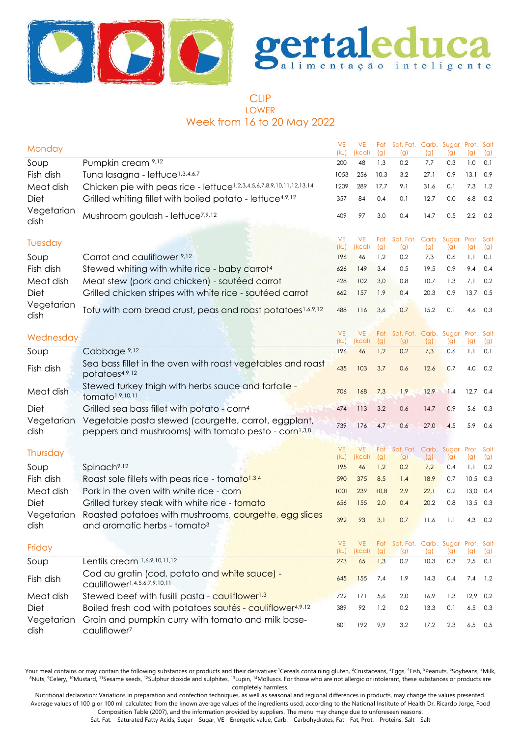



# CLIP LOWER Week from 16 to 20 May 2022

| Monday             |                                                                                                                          | <b>VE</b><br>(kJ) | <b>VE</b><br>(kcal) | Fat<br>(g) | Sat. Fat. Carb. Sugar Prot. Salt<br>(g)     | (g)        | (g)        | (q)               | (g)        |
|--------------------|--------------------------------------------------------------------------------------------------------------------------|-------------------|---------------------|------------|---------------------------------------------|------------|------------|-------------------|------------|
| Soup               | Pumpkin cream 9,12                                                                                                       | 200               | 48                  | 1,3        | 0,2                                         | 7,7        | 0,3        | 1,0               | 0,1        |
| Fish dish          | Tuna lasagna - lettuce <sup>1,3,4,6,7</sup>                                                                              | 1053              | 256                 | 10,3       | 3,2                                         | 27,1       | 0,9        | 13,1              | 0,9        |
| Meat dish          | Chicken pie with peas rice - lettuce1,2,3,4,5,6,7,8,9,10,11,12,13,14                                                     | 1209              | 289                 | 17,7       | 9,1                                         | 31,6       | 0,1        | 7,3               | 1,2        |
| Diet               | Grilled whiting fillet with boiled potato - lettuce <sup>4,9,12</sup>                                                    | 357               | 84                  | 0,4        | 0,1                                         | 12,7       | 0,0        | 6,8               | 0,2        |
| Vegetarian<br>dish | Mushroom goulash - lettuce <sup>7,9,12</sup>                                                                             | 409               | 97                  | 3,0        | 0,4                                         | 14,7       | 0,5        | 2,2               | 0,2        |
| Tuesday            |                                                                                                                          | <b>VE</b><br>(kJ) | <b>VE</b><br>(kcal) | Fat<br>(g) | Sat. Fat. Carb. Sugar<br>(g)                | (g)        | (g)        | Prot. Salt<br>(g) | (g)        |
| Soup               | Carrot and cauliflower 9,12                                                                                              | 196               | 46                  | 1,2        | 0,2                                         | 7,3        | 0,6        | 1,1               | 0,1        |
| Fish dish          | Stewed whiting with white rice - baby carrot <sup>4</sup>                                                                | 626               | 149                 | 3,4        | 0,5                                         | 19,5       | 0,9        | 9,4               | 0,4        |
| Meat dish          | Meat stew (pork and chicken) - sautéed carrot                                                                            | 428               | 102                 | 3,0        | 0,8                                         | 10,7       | 1,3        | 7,1               | 0,2        |
| Diet               | Grilled chicken stripes with white rice - sautéed carrot                                                                 | 662               | 157                 | 1,9        | 0,4                                         | 20,3       | 0,9        | 13,7              | 0,5        |
| Vegetarian<br>dish | Tofu with corn bread crust, peas and roast potatoes <sup>1,6,9,12</sup>                                                  | 488               | 116                 | 3,6        | 0,7                                         | 15,2       | 0,1        | 4,6               | 0,3        |
| Wednesday          |                                                                                                                          | <b>VE</b>         | <b>VE</b>           | Fat        | Sat. Fat. Carb. Sugar                       |            |            | Prot. Salt        |            |
| Soup               | Cabbage 9,12                                                                                                             | (kJ)<br>196       | (kcal)<br>46        | (g)<br>1,2 | (g)<br>0,2                                  | (g)<br>7,3 | (g)<br>0,6 | (g)<br>1,1        | (g)<br>0,1 |
|                    | Sea bass fillet in the oven with roast vegetables and roast                                                              |                   |                     |            |                                             |            |            |                   |            |
| Fish dish          | potatoes4,9,12                                                                                                           | 435               | 103                 | 3,7        | 0,6                                         | 12,6       | 0,7        | 4,0               | 0,2        |
| Meat dish          | Stewed turkey thigh with herbs sauce and farfalle -<br>tomato <sup>1,9,10,11</sup>                                       | 706               | 168                 | 7,3        | 1,9                                         | 12,9       | 1,4        | 12,7              | 0,4        |
| Diet               | Grilled sea bass fillet with potato - corn <sup>4</sup>                                                                  | 474               | 113                 | 3,2        | 0,6                                         | 14,7       | 0,9        | 5,6               | 0,3        |
| Vegetarian<br>dish | Vegetable pasta stewed (courgette, carrot, eggplant,<br>peppers and mushrooms) with tomato pesto - corn <sup>1,3,8</sup> | 739               | 176                 | 4,7        | 0,6                                         | 27,0       | 4,5        | 5,9               | 0,6        |
|                    |                                                                                                                          | <b>VE</b>         | <b>VE</b>           | Fat        | Sat. Fat. Carb. Sugar                       |            |            | Prot. Salt        |            |
| Thursday           |                                                                                                                          | (kJ)              | (kcal)              | (g)        | (g)                                         | (g)        | (g)        | (g)               | (g)        |
| Soup               | Spinach <sup>9,12</sup>                                                                                                  | 195               | 46                  | 1,2        | 0,2                                         | 7,2        | 0,4        | 1,1               | 0,2        |
| Fish dish          | Roast sole fillets with peas rice - tomato <sup>1,3,4</sup>                                                              | 590               | 375                 | 8,5        | 1,4                                         | 18,9       | 0,7        | 10,5              | 0,3        |
| Meat dish          | Pork in the oven with white rice - corn                                                                                  | 1001              | 239                 | 10,8       | 2,9                                         | 22,1       | 0,2        | 13,0              | 0,4        |
| Diet               | Grilled turkey steak with white rice - tomato                                                                            | 656               | 155                 | 2,0        | 0,4                                         | 20,2       | 0,8        | $13,5$ 0,3        |            |
| Vegetarian<br>dish | Roasted potatoes with mushrooms, courgette, egg slices<br>and aromatic herbs - tomato <sup>3</sup>                       | 392               | 93                  | 3,1        | 0,7                                         | 11,6       | 1,1        | 4,3               | 0,2        |
| Friday             |                                                                                                                          | <b>VE</b><br>(kJ) | <b>VE</b><br>(kcal) | (g)        | Fat Sat. Fat. Carb. Sugar Prot. Salt<br>(g) | (g)        | (g)        | (g)               | (g)        |
| Soup               | Lentils cream 1,6,9,10,11,12                                                                                             | 273               | 65                  | 1,3        | 0,2                                         | 10,3       | 0,3        | 2,5               | 0,1        |
| Fish dish          | Cod au gratin (cod, potato and white sauce) -<br>cauliflower1,4,5,6,7,9,10,11                                            | 645               | 155                 | 7,4        | 1,9                                         | 14,3       | 0,4        | 7,4               | 1,2        |
| Meat dish          | Stewed beef with fusilli pasta - cauliflower <sup>1,3</sup>                                                              | 722               | 171                 | 5,6        | 2,0                                         | 16,9       | 1,3        | 12,9              | 0,2        |
| Diet               | Boiled fresh cod with potatoes sautés - cauliflower <sup>4,9,12</sup>                                                    | 389               | 92                  | 1,2        | 0,2                                         | 13,3       | 0,1        | 6,5               | 0,3        |
| Vegetarian<br>dish | Grain and pumpkin curry with tomato and milk base-<br>cauliflower <sup>7</sup>                                           | 801               | 192                 | 9,9        | 3,2                                         | 17,2       | 2,3        | 6,5               | 0,5        |

Your meal contains or may contain the following substances or products and their derivatives:<sup>1</sup>Cereals containing gluten, <sup>2</sup>Crustaceans, <sup>3</sup>Eggs, <sup>4</sup>Fish, <sup>5</sup>Peanuts, <sup>6</sup>Soybeans, <sup>7</sup>Milk, <sup>8</sup>Nuts, <sup>9</sup>Celery, <sup>10</sup>Mustard, <sup>11</sup>Sesame seeds, <sup>12</sup>Sulphur dioxide and sulphites, <sup>13</sup>Lupin, <sup>14</sup>Molluscs. For those who are not allergic or intolerant, these substances or products are completely harmless.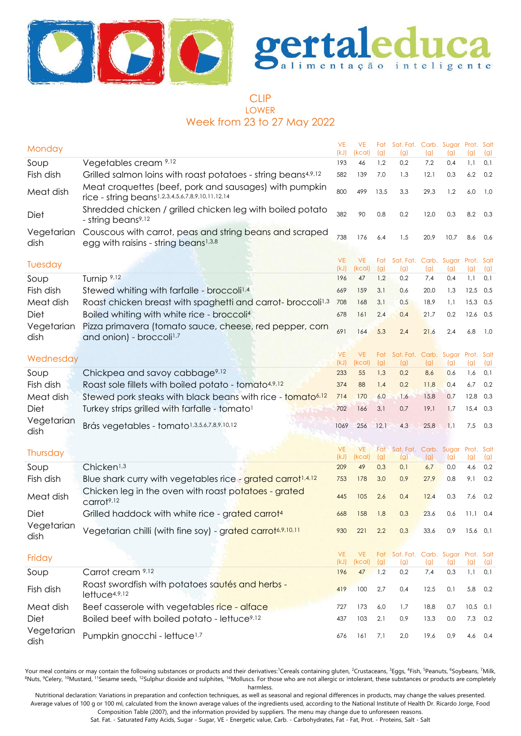



# CLIP LOWER Week from 23 to 27 May 2022

| Monday             |                                                                                                                                 | <b>VE</b><br>(kJ) | <b>VE</b><br>(kcal) | (g)        | Fat Sat. Fat. Carb. Sugar Prot. Salt<br>(g) | (g)        | (g)        | (q)               | (g)        |
|--------------------|---------------------------------------------------------------------------------------------------------------------------------|-------------------|---------------------|------------|---------------------------------------------|------------|------------|-------------------|------------|
| Soup               | Vegetables cream 9,12                                                                                                           | 193               | 46                  | 1,2        | 0,2                                         | 7,2        | 0,4        | 1,1               | 0,1        |
| Fish dish          | Grilled salmon loins with roast potatoes - string beans <sup>4,9,12</sup>                                                       | 582               | 139                 | 7,0        | 1,3                                         | 12,1       | 0,3        | 6,2               | 0,2        |
| Meat dish          | Meat croquettes (beef, pork and sausages) with pumpkin<br>rice - string beans1,2,3,4,5,6,7,8,9,10,11,12,14                      | 800               | 499                 | 13,5       | 3,3                                         | 29,3       | 1,2        | 6,0               | 1,0        |
| Diet               | Shredded chicken / grilled chicken leg with boiled potato<br>- string beans <sup>9,12</sup>                                     | 382               | 90                  | 0,8        | 0,2                                         | 12,0       | 0,3        | 8,2               | 0,3        |
| Vegetarian<br>dish | Couscous with carrot, peas and string beans and scraped<br>egg with raisins - string beans <sup>1,3,8</sup>                     | 738               | 176                 | 6,4        | 1,5                                         | 20,9       | 10,7       | 8,6               | 0,6        |
|                    |                                                                                                                                 | <b>VE</b>         | <b>VE</b>           | Fat        | Sat. Fat. Carb. Sugar                       |            |            | Prot. Salt        |            |
| Tuesday            |                                                                                                                                 | (kJ)              | (kcal)              | (g)        | (g)                                         | (g)        | (g)        | (g)               | (g)        |
| Soup               | Turnip <sup>9,12</sup>                                                                                                          | 196               | 47                  | 1,2        | 0,2                                         | 7,4        | 0,4        | 1,1               | 0,1        |
| Fish dish          | Stewed whiting with farfalle - broccoli <sup>1,4</sup>                                                                          | 669               | 159                 | 3,1        | 0,6                                         | 20,0       | 1,3        | 12,5              | 0,5        |
| Meat dish          | Roast chicken breast with spaghetti and carrot- broccoli <sup>1,3</sup>                                                         | 708               | 168                 | 3,1        | 0,5                                         | 18,9       | 1,1        | 15,3              | 0,5        |
| <b>Diet</b>        | Boiled whiting with white rice - broccoli <sup>4</sup>                                                                          | 678               | 161                 | 2,4        | 0,4                                         | 21,7       | 0,2        | $12,6$ 0,5        |            |
| Vegetarian<br>dish | Pizza primavera (tomato sauce, cheese, red pepper, corn<br>and onion) - broccoli <sup>1,7</sup>                                 | 691               | 164                 | 5,3        | 2,4                                         | 21,6       | 2,4        | 6,8               | 1,0        |
|                    |                                                                                                                                 |                   |                     |            |                                             |            |            |                   |            |
| Wednesday          |                                                                                                                                 | <b>VE</b><br>(kJ) | <b>VE</b><br>(kcal) | Fat<br>(g) | Sat. Fat. Carb. Sugar<br>(g)                | (g)        | (g)        | Prot. Salt<br>(g) | (g)        |
| Soup               | Chickpea and savoy cabbage <sup>9,12</sup>                                                                                      | 233               | 55                  | 1,3        | 0,2                                         | 8,6        | 0,6        | 1,6               | 0,1        |
| Fish dish          | Roast sole fillets with boiled potato - tomato4,9,12                                                                            | 374               | 88                  | 1,4        | 0,2                                         | 11,8       | 0,4        | 6,7               | 0,2        |
| Meat dish          | Stewed pork steaks with black beans with rice - tomato <sup>6,12</sup>                                                          | 714               | 170                 | 6,0        | 1,6                                         | 15,8       | 0,7        | 12,8              | 0,3        |
| <b>Diet</b>        | Turkey strips grilled with farfalle - tomato <sup>1</sup>                                                                       | 702               | 166                 | 3,1        | 0,7                                         | 19,1       | 1,7        | $15,4$ 0,3        |            |
| Vegetarian<br>dish | Brás vegetables - tomato <sup>1,3,5,6,7,8,9,10,12</sup>                                                                         | 1069              | 256                 | 12,1       | 4,3                                         | 25,8       | 1,1        | 7,5               | 0,3        |
|                    |                                                                                                                                 |                   |                     |            |                                             |            |            |                   |            |
| Thursday           |                                                                                                                                 | <b>VE</b>         | <b>VE</b>           | Fat        | Sat. Fat. Carb. Sugar                       |            |            | Prot. Salt        |            |
| Soup               | Chicken <sup>1,3</sup>                                                                                                          | (kJ)<br>209       | (kcal)<br>49        | (g)<br>0,3 | (g)<br>0,1                                  | (g)<br>6,7 | (g)<br>0,0 | (g)<br>4,6        | (g)<br>0,2 |
| Fish dish          |                                                                                                                                 | 753               | 178                 | 3,0        | 0,9                                         | 27,9       | 0,8        | 9,1               | 0,2        |
|                    | Blue shark curry with vegetables rice - grated carrot <sup>1,4,12</sup><br>Chicken leg in the oven with roast potatoes - grated |                   |                     |            |                                             |            |            |                   |            |
| Meat dish          | carrot <sup>9,12</sup>                                                                                                          | 445               | 105                 | 2,6        | 0,4                                         | 12,4       | 0,3        | 7,6               | 0,2        |
| Diet               | Grilled haddock with white rice - grated carrot <sup>4</sup>                                                                    | 668               | 158                 | 1,8        | 0,3                                         | 23,6       | 0,6        | $11,1$ 0.4        |            |
| Vegetarian<br>dish | Vegetarian chilli (with fine soy) - grated carrot6,9,10,11                                                                      | 930               | 221                 | 2,2        | 0,3                                         | 33,6       | 0,9        | $15,6$ 0,1        |            |
|                    |                                                                                                                                 | <b>VE</b>         | <b>VE</b>           |            | Fat Sat. Fat. Carb. Sugar Prot. Salt        |            |            |                   |            |
| Friday             |                                                                                                                                 | (kJ)              | (kcal)              | (g)        | (g)                                         | (g)        | (g)        | (g)               | (g)        |
| Soup               | Carrot cream 9,12                                                                                                               | 196               | 47                  | 1,2        | 0,2                                         | 7,4        | 0,3        | 1,1               | 0,1        |
| Fish dish          | Roast swordfish with potatoes sautés and herbs -<br>lettuc <sub>4,9,12</sub>                                                    | 419               | 100                 | 2,7        | 0,4                                         | 12,5       | 0,1        | 5,8               | 0,2        |
| Meat dish          | Beef casserole with vegetables rice - alface                                                                                    | 727               | 173                 | 6,0        | 1,7                                         | 18,8       | 0,7        | 10,5              | 0,1        |
| Diet               | Boiled beef with boiled potato - lettuce <sup>9,12</sup>                                                                        | 437               | 103                 | 2,1        | 0,9                                         | 13,3       | 0,0        | 7,3               | 0,2        |
| Vegetarian<br>dish | Pumpkin gnocchi - lettuce <sup>1,7</sup>                                                                                        | 676               | 161                 | 7,1        | 2,0                                         | 19,6       | 0,9        | 4,6               | 0,4        |

Your meal contains or may contain the following substances or products and their derivatives:<sup>1</sup>Cereals containing gluten, <sup>2</sup>Crustaceans, <sup>3</sup>Eggs, <sup>4</sup>Fish, <sup>5</sup>Peanuts, <sup>6</sup>Soybeans, <sup>7</sup>Milk, <sup>8</sup>Nuts, <sup>9</sup>Celery, <sup>10</sup>Mustard, <sup>11</sup>Sesame seeds, <sup>12</sup>Sulphur dioxide and sulphites, <sup>14</sup>Molluscs. For those who are not allergic or intolerant, these substances or products are completely harmless.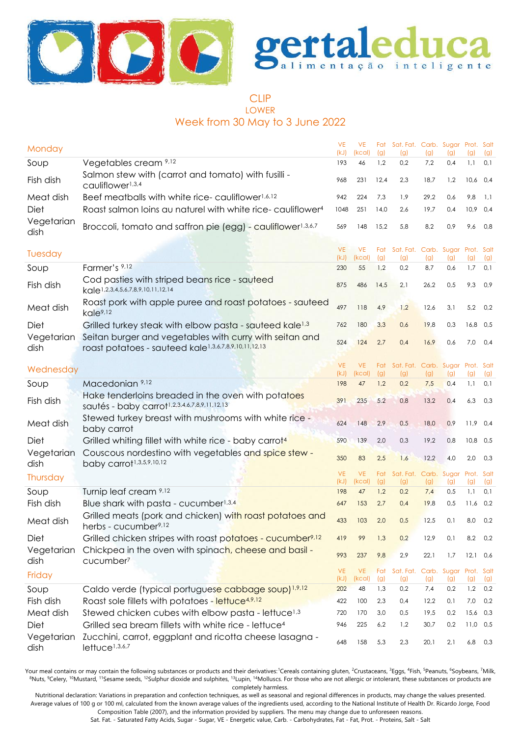



#### CLIP LOWER Week from 30 May to 3 June 2022

| Monday             |                                                                                                                 | <b>VE</b><br>(kJ) | <b>VE</b><br>(kcal) | Fat<br>(g) | Sat. Fat. Carb. Sugar Prot. Salt<br>(g) | (g)        | (q)                | (g)               | (g)        |
|--------------------|-----------------------------------------------------------------------------------------------------------------|-------------------|---------------------|------------|-----------------------------------------|------------|--------------------|-------------------|------------|
| Soup               | Vegetables cream 9,12                                                                                           | 193               | 46                  | 1,2        | 0,2                                     | 7,2        | 0,4                | 1,1               | 0,1        |
| Fish dish          | Salmon stew with (carrot and tomato) with fusilli -<br>cauliflower <sup>1,3,4</sup>                             | 968               | 231                 | 12,4       | 2,3                                     | 18,7       | 1,2                | $10,6$ 0,4        |            |
| Meat dish          | Beef meatballs with white rice-cauliflower <sup>1,6,12</sup>                                                    | 942               | 224                 | 7,3        | 1,9                                     | 29,2       | 0,6                | 9,8               | 1,1        |
| Diet               | Roast salmon loins au naturel with white rice-cauliflower <sup>4</sup>                                          | 1048              | 251                 | 14,0       | 2,6                                     | 19,7       | 0,4                | 10,9              | 0,4        |
| Vegetarian<br>dish | Broccoli, tomato and saffron pie (egg) - cauliflower <sup>1,3,6,7</sup>                                         | 569               | 148                 | 15,2       | 5,8                                     | 8,2        | 0,9                | 9,6               | 0,8        |
| Tuesday            |                                                                                                                 | <b>VE</b><br>(kJ) | <b>VE</b><br>(kcal) | Fat<br>(g) | Sat. Fat. Carb. Sugar<br>(g)            | (g)        | (g)                | Prot. Salt<br>(g) | (g)        |
| Soup               | Farmer's 9,12                                                                                                   | 230               | 55                  | 1,2        | 0,2                                     | 8,7        | 0,6                | 1,7               | 0,1        |
| Fish dish          | Cod pasties with striped beans rice - sauteed<br>kale <sup>1,2,3,4,5,6,7,8,9,10,11,12,14</sup>                  | 875               | 486                 | 14,5       | 2,1                                     | 26,2       | 0,5                | 9,3               | 0,9        |
| Meat dish          | Roast pork with apple puree and roast potatoes - sauteed<br>kale <sup>9,12</sup>                                | 497               | 118                 | 4,9        | 1,2                                     | 12,6       | 3,1                | 5,2               | 0,2        |
| Diet               | Grilled turkey steak with elbow pasta - sauteed kale <sup>1,3</sup>                                             | 762               | 180                 | 3,3        | 0,6                                     | 19,8       | 0,3                | $16,8$ 0,5        |            |
| Vegetarian<br>dish | Seitan burger and vegetables with curry with seitan and<br>roast potatoes - sauteed kale1,3,6,7,8,9,10,11,12,13 | 524               | 124                 | 2,7        | 0,4                                     | 16,9       | 0,6                | 7,0               | 0,4        |
|                    |                                                                                                                 | <b>VE</b>         | <b>VE</b>           | Fat        | Sat. Fat. Carb. Sugar Prot. Salt        |            |                    |                   |            |
| Wednesday          |                                                                                                                 | (kJ)              | (kcal)              | (g)        | (g)                                     | (g)        | (g)                | (g)               | (g)        |
| Soup               | Macedonian 9,12                                                                                                 | 198               | 47                  | 1,2        | 0,2                                     | 7,5        | 0,4                | 1,1               | 0,1        |
| Fish dish          | Hake tenderloins breaded in the oven with potatoes<br>sautés - baby carrot1,2,3,4,6,7,8,9,11,12,13              | 391               | 235                 | 5,2        | 0,8                                     | 13,2       | 0,4                | 6,3               | 0,3        |
| Meat dish          | Stewed turkey breast with mushrooms with white rice -<br>baby carrot                                            | 624               | 148                 | 2,9        | 0,5                                     | 18,0       | 0,9                | 11,9              | 0,4        |
| Diet               | Grilled whiting fillet with white rice - baby carrot <sup>4</sup>                                               | 590               | 139                 | 2,0        | 0,3                                     | 19,2       | 0,8                | $10,8$ 0,5        |            |
| Vegetarian<br>dish | Couscous nordestino with vegetables and spice stew -<br>baby carrot <sup>1,3,5,9,10,12</sup>                    | 350               | 83                  | 2,5        | 1,6                                     | 12,2       | 4,0                | 2,0               | 0,3        |
| Thursday           |                                                                                                                 | <b>VE</b><br>(kJ) | <b>VE</b><br>(kcal) | Fat<br>(g) | Sat. Fat.<br>(g)                        | (g)        | Carb. Sugar<br>(g) | Prot. Salt<br>(g) | (g)        |
| Soup               | Turnip leaf cream 9,12                                                                                          | 198               | 47                  | 1,2        | 0,2                                     | 7,4        | 0,5                | 1,1               | 0,1        |
| Fish dish          | Blue shark with pasta - cucumber <sup>1,3,4</sup>                                                               | 647               | 153                 | 2,7        | 0,4                                     | 19,8       | 0,5                | $11,6$ 0.2        |            |
| Meat dish          | Grilled meats (pork and chicken) with roast potatoes and<br>herbs - cucumber <sup>9,12</sup>                    | 433               | 103                 | 2,0        | 0,5                                     | 12,5       | 0,1                | 8,0               | 0,2        |
| Diet               | Grilled chicken stripes with roast potatoes - cucumber <sup>9,12</sup>                                          | 419               | 99                  | 1,3        | 0,2                                     | 12,9       | 0,1                | $8,2$ 0,2         |            |
| Vegetarian<br>dish | Chickpea in the oven with spinach, cheese and basil -<br>cucumber <sup>7</sup>                                  | 993               | 237                 | 9,8        | 2,9                                     | 22,1       | 1,7                | $12,1$ 0,6        |            |
| Friday             |                                                                                                                 | <b>VE</b><br>(kJ) | <b>VE</b><br>(kcal) | Fat        | Sat. Fat. Carb. Sugar Prot. Salt        |            |                    |                   |            |
| Soup               | Caldo verde (typical portuguese cabbage soup) <sup>1,9,12</sup>                                                 | 202               | 48                  | (g)<br>1,3 | (g)<br>0,2                              | (g)<br>7,4 | (g)<br>0,2         | (g)<br>1,2        | (g)<br>0,2 |
| Fish dish          | Roast sole fillets with potatoes - lettuce4,9,12                                                                | 422               | 100                 | 2,3        | 0,4                                     | 12,2       | 0,1                | 7,0               | 0,2        |
| Meat dish          | Stewed chicken cubes with elbow pasta - lettuce <sup>1,3</sup>                                                  | 720               | 170                 | 3,0        | 0,5                                     | 19,5       | 0,2                | 15,6 0,3          |            |
| Diet               | Grilled sea bream fillets with white rice - lettuce <sup>4</sup>                                                | 946               | 225                 | 6,2        | 1,2                                     | 30,7       | 0,2                | $11,0$ 0,5        |            |
| Vegetarian<br>dish | Zucchini, carrot, eggplant and ricotta cheese lasagna -<br>lettuce <sup>1,3,6,7</sup>                           | 648               | 158                 | 5,3        | 2,3                                     | 20,1       | 2,1                | 6,8               | 0,3        |

Your meal contains or may contain the following substances or products and their derivatives:<sup>1</sup>Cereals containing gluten, <sup>2</sup>Crustaceans, <sup>3</sup>Eggs, <sup>4</sup>Fish, <sup>5</sup>Peanuts, <sup>6</sup>Soybeans, <sup>7</sup>Milk, 8Nuts, <sup>9</sup>Celery, <sup>10</sup>Mustard, <sup>11</sup>Sesame seeds, <sup>12</sup>Sulphur dioxide and sulphites, <sup>13</sup>Lupin, <sup>14</sup>Molluscs. For those who are not allergic or intolerant, these substances or products are completely harmless.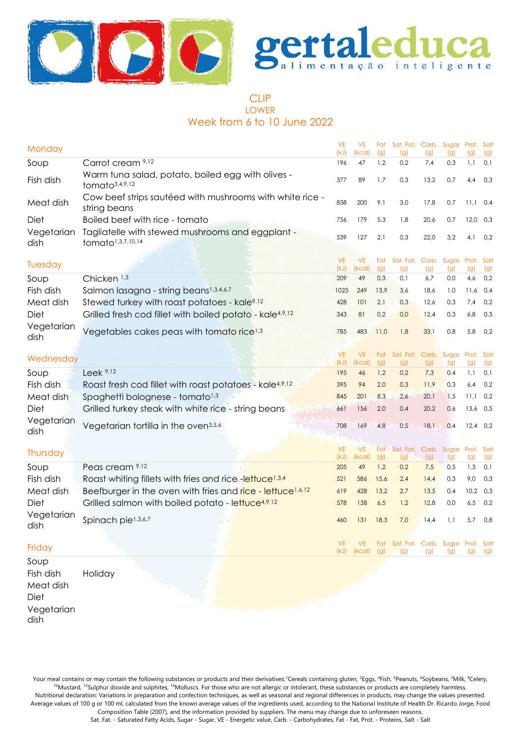



# CLIP LOWER Week from 6 to 10 June 2022

| Monday                                 |                                                                                   | <b>VE</b><br>(kJ) | <b>VE</b><br>(kcal) | Fat<br>(g) | Sat. Fat. Carb. Sugar Prot. Salt<br>(g)     | (g)  | (g) | (g)               | (g)         |
|----------------------------------------|-----------------------------------------------------------------------------------|-------------------|---------------------|------------|---------------------------------------------|------|-----|-------------------|-------------|
| Soup                                   | Carrot cream 9,12                                                                 | 196               | 47                  | 1,2        | 0,2                                         | 7,4  | 0,3 | 1,1               | 0,1         |
| Fish dish                              | Warm tuna salad, potato, boiled egg with olives -<br>tomato <sup>3,4,9,12</sup>   | 377               | 89                  | 1,7        | 0,3                                         | 13,2 | 0,7 | 4,4               | 0,3         |
| Meat dish                              | Cow beef strips sautéed with mushrooms with white rice -<br>string beans          | 838               | 200                 | 9,1        | 3,0                                         | 17,8 | 0,7 | 11,1              | 0,4         |
| Diet                                   | Boiled beef with rice - tomato                                                    | 756               | 179                 | 5,3        | 1,8                                         | 20,6 | 0,7 | 12,0              | 0,3         |
| Vegetarian<br>dish                     | Tagliatelle with stewed mushrooms and eggplant -<br>tomato <sup>1,3,7,10,14</sup> | 539               | 127                 | 2,1        | 0,3                                         | 22,0 | 3,2 | 4,1               | 0,2         |
| Tuesday                                |                                                                                   | <b>VE</b><br>(kJ) | <b>VE</b><br>(kcal) | Fat<br>(g) | Sat. Fat. Carb. Sugar Prot.<br>(g)          | (g)  | (g) | (g)               | Salt<br>(g) |
| Soup                                   | Chicken <sup>1,3</sup>                                                            | 209               | 49                  | 0,3        | 0,1                                         | 6,7  | 0,0 | 4,6               | 0,2         |
| Fish dish                              | Salmon lasagna - string beans <sup>1,3,4,6,7</sup>                                | 1025              | 249                 | 13,9       | 3,6                                         | 18,6 | 1,0 | 11,6              | 0,4         |
| Meat dish                              | Stewed turkey with roast potatoes - kale <sup>9,12</sup>                          | 428               | 101                 | 2,1        | 0,3                                         | 12,6 | 0,3 | 7,4               | 0,2         |
| Diet                                   | Grilled fresh cod fillet with boiled potato - kale <sup>4,9,12</sup>              | 343               | 81                  | 0,2        | 0,0                                         | 12,4 | 0,3 | 6,8               | 0,3         |
| Vegetarian<br>dish                     | Vegetables cakes peas with tomato rice <sup>1,3</sup>                             | 785               | 483                 | 11,0       | 1,8                                         | 33,1 | 0,8 | 5,8               | 0,2         |
|                                        |                                                                                   |                   |                     |            |                                             |      |     |                   |             |
| Wednesday                              |                                                                                   | <b>VE</b><br>(kJ) | <b>VE</b><br>(kcal) | Fat<br>(g) | Sat. Fat. Carb. Sugar<br>(g)                | (g)  | (g) | Prot. Salt<br>(g) | (g)         |
| Soup                                   | Leek 9,12                                                                         | 195               | 46                  | 1,2        | 0,2                                         | 7,3  | 0,4 | 1,1               | 0,1         |
| Fish dish                              | Roast fresh cod fillet with roast potatoes - kale <sup>4,9,12</sup>               | 395               | 94                  | 2,0        | 0,3                                         | 11,9 | 0,3 | 6,4               | 0,2         |
| Meat dish                              | Spaghetti bolognese - tomato <sup>1,3</sup>                                       | 845               | 201                 | 8,3        | 2,6                                         | 20,1 | 1,5 | 11,1              | 0,2         |
| <b>Diet</b>                            | Grilled turkey steak with white rice - string beans                               | 661               | 156                 | 2,0        | 0,4                                         | 20,2 | 0,6 | 13,6              | 0,5         |
| Vegetarian<br>dish                     | Vegetarian tortilla in the oven <sup>3,5,6</sup>                                  | 708               | 169                 | 4,8        | 0,5                                         | 18,1 | 0,4 | 12,4              | 0,2         |
|                                        |                                                                                   | <b>VE</b>         | <b>VE</b>           |            | Sat. Fat. Carb. Sugar Prot. Salt            |      |     |                   |             |
| Thursday                               |                                                                                   | (kJ)              | (kcal)              | Fat<br>(g) | (g)                                         | (g)  | (g) | (g)               | (g)         |
| Soup                                   | Peas cream 9,12                                                                   | 205               | 49                  | 1,2        | 0,2                                         | 7,5  | 0,5 | 1,3               | 0,1         |
| Fish dish                              | Roast whiting fillets with fries and rice-lettuce <sup>1,3,4</sup>                | 521               | 586                 | 15,6       | 2,4                                         | 14,4 | 0,3 | 9,0               | 0,3         |
| Meat dish                              | Beefburger in the oven with fries and rice - lettuce <sup>1,6,12</sup>            | 619               | 428                 | 13,2       | 2,7                                         | 13,5 | 0,4 | 10,2              | 0,3         |
| <b>Diet</b>                            | Grilled salmon with boiled potato - lettuce <sup>4,9,12</sup>                     | 578               | 138                 | 6,5        | 1,2                                         | 12,8 | 0,0 | 6,5               | 0,2         |
| Vegetarian<br>dish                     | Spinach pie <sup>1,3,6,7</sup>                                                    | 460               | 131                 | 18,3       | 7,0                                         | 14,4 | 1,1 | 5,7               | 0,8         |
| Friday                                 |                                                                                   | VE<br>(kJ)        | (kcal)              | (g)        | Fat Sat. Fat. Carb. Sugar Prot. Salt<br>(g) | (g)  | (g) | (g)               | (g)         |
| Soup<br>Fish dish<br>Meat dish<br>Diet | Holiday                                                                           |                   |                     |            |                                             |      |     |                   |             |

Vegetarian dish

Your meal contains or may contain the following substances or products and their derivatives: 'Cereals containing gluten, <sup>3</sup>Eggs, <sup>4</sup>Fish, <sup>5</sup>Peanuts, <sup>6</sup>Soybeans, 7Milk, <sup>9</sup>Celery, <sup>10</sup>Mustard, <sup>12</sup>Sulphur dioxide and sulphites, <sup>14</sup>Molluscs. For those who are not allergic or intolerant, these substances or products are completely harmless. Nutritional declaration: Variations in preparation and confection techniques, as well as seasonal and regional differences in products, may change the values presented. Average values of 100 g or 100 ml, calculated from the known average values of the ingredients used, according to the National Institute of Health Dr. Ricardo Jorge, Food

Composition Table (2007), and the information provided by suppliers. The menu may change due to unforeseen reasons.

Sat. Fat. - Saturated Fatty Acids, Sugar - Sugar, VE - Energetic value, Carb. - Carbohydrates, Fat - Fat, Prot. - Proteins, Salt - Salt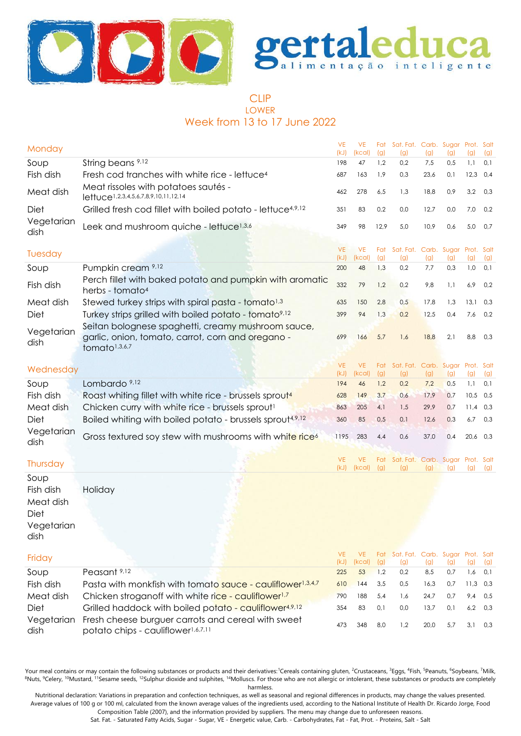



# CLIP LOWER Week from 13 to 17 June 2022

| Monday                                                       |                                                                                                                                      | <b>VE</b><br>(kJ) | <b>VE</b><br>(kcal) | Fat<br>(g) | Sat. Fat. Carb. Sugar Prot. Salt<br>(g) | (g)  | (g) | (q)  | (g) |
|--------------------------------------------------------------|--------------------------------------------------------------------------------------------------------------------------------------|-------------------|---------------------|------------|-----------------------------------------|------|-----|------|-----|
| Soup                                                         | String beans <sup>9,12</sup>                                                                                                         | 198               | 47                  | 1,2        | 0,2                                     | 7,5  | 0,5 | 1,1  | 0,1 |
| Fish dish                                                    | Fresh cod tranches with white rice - lettuce <sup>4</sup>                                                                            | 687               | 163                 | 1,9        | 0,3                                     | 23,6 | 0,1 | 12,3 | 0,4 |
| Meat dish                                                    | Meat rissoles with potatoes sautés -<br>lettuce1,2,3,4,5,6,7,8,9,10,11,12,14                                                         | 462               | 278                 | 6,5        | 1,3                                     | 18,8 | 0,9 | 3,2  | 0,3 |
| Diet                                                         | Grilled fresh cod fillet with boiled potato - lettuce <sup>4,9,12</sup>                                                              | 351               | 83                  | 0,2        | 0,0                                     | 12,7 | 0,0 | 7,0  | 0,2 |
| Vegetarian<br>dish                                           | Leek and mushroom quiche - lettuce <sup>1,3,6</sup>                                                                                  | 349               | 98                  | 12,9       | 5,0                                     | 10,9 | 0,6 | 5,0  | 0,7 |
| Tuesday                                                      |                                                                                                                                      | <b>VE</b><br>(kJ) | <b>VE</b><br>(kcal) | Fat<br>(g) | Sat. Fat. Carb. Sugar Prot. Salt<br>(g) | (g)  | (g) | (g)  | (g) |
| Soup                                                         | Pumpkin cream 9,12                                                                                                                   | 200               | 48                  | 1,3        | 0,2                                     | 7,7  | 0,3 | 1,0  | 0,1 |
| Fish dish                                                    | Perch fillet with baked potato and pumpkin with aromatic<br>herbs - tomato <sup>4</sup>                                              | 332               | 79                  | 1,2        | 0,2                                     | 9,8  | 1,1 | 6,9  | 0,2 |
| Meat dish                                                    | Stewed turkey strips with spiral pasta - tomato <sup>1,3</sup>                                                                       | 635               | 150                 | 2,8        | 0,5                                     | 17,8 | 1,3 | 13,1 | 0,3 |
| Diet                                                         | Turkey strips grilled with boiled potato - tomato <sup>9,12</sup>                                                                    | 399               | 94                  | 1,3        | 0,2                                     | 12,5 | 0,4 | 7,6  | 0,2 |
| Vegetarian<br>dish                                           | Seitan bolognese spaghetti, creamy mushroom sauce,<br>garlic, onion, tomato, carrot, corn and oregano -<br>tomato <sup>1,3,6,7</sup> | 699               | 166                 | 5,7        | 1,6                                     | 18,8 | 2,1 | 8,8  | 0,3 |
|                                                              |                                                                                                                                      | <b>VE</b>         | <b>VE</b>           | Fat        | Sat. Fat. Carb. Sugar Prot. Salt        |      |     |      |     |
| Wednesday                                                    |                                                                                                                                      | (kJ)              | (kcal)              | (g)        | (g)                                     | (g)  | (g) | (g)  | (g) |
| Soup                                                         | Lombardo <sup>9,12</sup>                                                                                                             | 194               | 46                  | 1,2        | 0,2                                     | 7,2  | 0,5 | 1,1  | 0,1 |
| Fish dish                                                    | Roast whiting fillet with white rice - brussels sprout <sup>4</sup>                                                                  | 628               | 149                 | 3,7        | 0,6                                     | 17,9 | 0,7 | 10,5 | 0,5 |
| Meat dish                                                    | Chicken curry with white rice - brussels sprout <sup>1</sup>                                                                         | 863               | 205                 | 4,1        | 1,5                                     | 29,9 | 0,7 | 11,4 | 0,3 |
| Diet                                                         | Boiled whiting with boiled potato - brussels sprout4,9,12                                                                            | 360               | 85                  | 0,5        | 0,1                                     | 12,6 | 0,3 | 6,7  | 0,3 |
| Vegetarian<br>dish                                           | Gross textured soy stew with mushrooms with white rice <sup>6</sup>                                                                  | 1195              | 283                 | 4,4        | 0,6                                     | 37,0 | 0,4 | 20,6 | 0,3 |
| Thursday                                                     |                                                                                                                                      | <b>VE</b><br>(kJ) | <b>VE</b><br>(kcal) | Fat<br>(g) | Sat. Fat. Carb. Sugar Prot. Salt<br>(g) | (g)  | (g) | (g)  | (g) |
| Soup<br>Fish dish<br>Meat dish<br>Diet<br>Vegetarian<br>dish | Holiday                                                                                                                              |                   |                     |            |                                         |      |     |      |     |
| Friday                                                       |                                                                                                                                      | <b>VE</b><br>(kJ) | <b>VE</b><br>(kcal) | Fat<br>(g) | Sat. Fat. Carb. Sugar Prot. Salt<br>(g) | (g)  | (g) | (g)  | (g) |
| Soup                                                         | Peasant <sup>9,12</sup>                                                                                                              | 225               | 53                  | 1,2        | 0,2                                     | 8,5  | 0,7 | 1,6  | 0,1 |
| Fish dish                                                    | Pasta with monkfish with tomato sauce - cauliflower <sup>1,3,4,7</sup>                                                               | 610               | 144                 | 3,5        | 0,5                                     | 16,3 | 0,7 | 11,3 | 0,3 |
| Meat dish                                                    | Chicken stroganoff with white rice - cauliflower <sup>1,7</sup>                                                                      | 790               | 188                 | 5,4        | 1,6                                     | 24,7 | 0,7 | 9,4  | 0,5 |
| Diet                                                         | Grilled haddock with boiled potato - cauliflower <sup>4,9,12</sup>                                                                   | 354               | 83                  | 0,1        | 0,0                                     | 13,7 | 0,1 | 6,2  | 0,3 |
| Vegetarian<br>dish                                           | Fresh cheese burguer carrots and cereal with sweet<br>potato chips - cauliflower1,6,7,11                                             | 473               | 348                 | 8,0        | 1,2                                     | 20,0 | 5,7 | 3,1  | 0,3 |

Your meal contains or may contain the following substances or products and their derivatives:<sup>1</sup>Cereals containing gluten, <sup>2</sup>Crustaceans, <sup>3</sup>Eggs, <sup>4</sup>Fish, <sup>5</sup>Peanuts, <sup>6</sup>Soybeans, <sup>7</sup>Milk, <sup>8</sup>Nuts, <sup>9</sup>Celery, <sup>10</sup>Mustard, <sup>11</sup>Sesame seeds, <sup>12</sup>Sulphur dioxide and sulphites, <sup>14</sup>Molluscs. For those who are not allergic or intolerant, these substances or products are completely harmless.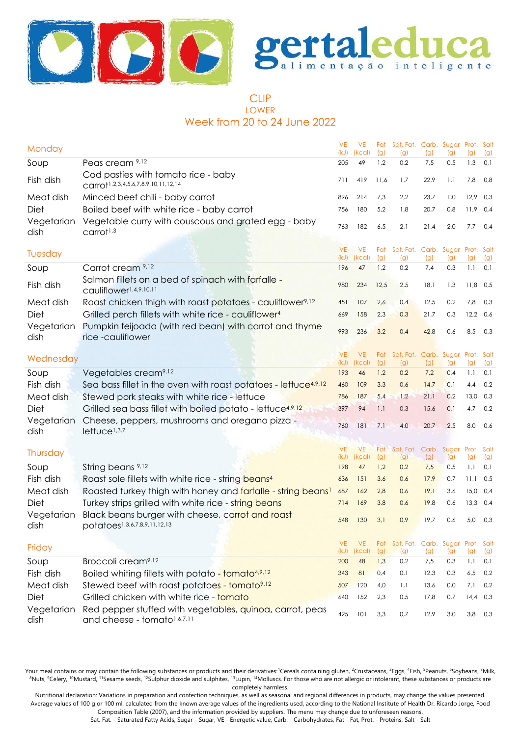



### CLIP LOWER Week from 20 to 24 June 2022

| Monday             |                                                                                                     | <b>VE</b><br>(kJ) | <b>VE</b><br>(kcal) | Fat<br>(g) | Sat. Fat. Carb. Sugar Prot. Salt<br>(g) | (g)  | (g) | (g)  | (g)        |
|--------------------|-----------------------------------------------------------------------------------------------------|-------------------|---------------------|------------|-----------------------------------------|------|-----|------|------------|
| Soup               | Peas cream 9,12                                                                                     | 205               | 49                  | 1,2        | 0,2                                     | 7,5  | 0,5 | 1,3  | 0,1        |
| Fish dish          | Cod pasties with tomato rice - baby<br>Carrot <sup>1,2,3,4,5,6,7,8,9,10,11,12,14</sup>              | 711               | 419                 | 11,6       | 1,7                                     | 22,9 | 1,1 | 7,8  | 0,8        |
| Meat dish          | Minced beef chili - baby carrot                                                                     | 896               | 214                 | 7,3        | 2,2                                     | 23,7 | 1,0 | 12,9 | 0,3        |
| Diet               | Boiled beef with white rice - baby carrot                                                           | 756               | 180                 | 5,2        | 1,8                                     | 20,7 | 0,8 | 11,9 | 0,4        |
| Vegetarian<br>dish | Vegetable curry with couscous and grated egg - baby<br>$c$ arrot <sup><math>1,3</math></sup>        | 763               | 182                 | 6,5        | 2,1                                     | 21,4 | 2,0 | 7,7  | 0,4        |
| Tuesday            |                                                                                                     | <b>VE</b><br>(kJ) | <b>VE</b><br>(kcal) | Fat<br>(g) | Sat. Fat. Carb. Sugar Prot. Salt<br>(g) | (g)  | (g) | (g)  | (g)        |
| Soup               | Carrot cream 9,12                                                                                   | 196               | 47                  | 1,2        | 0,2                                     | 7,4  | 0,3 | 1,1  | 0,1        |
| Fish dish          | Salmon fillets on a bed of spinach with farfalle -<br>cauliflower1,4,9,10,11                        | 980               | 234                 | 12,5       | 2,5                                     | 18,1 | 1,3 | 11,8 | 0,5        |
| Meat dish          | Roast chicken thigh with roast potatoes - cauliflower <sup>9,12</sup>                               | 451               | 107                 | 2,6        | 0,4                                     | 12,5 | 0,2 | 7,8  | 0,3        |
| Diet               | Grilled perch fillets with white rice - cauliflower <sup>4</sup>                                    | 669               | 158                 | 2,3        | 0,3                                     | 21,7 | 0,3 | 12,2 | 0,6        |
| Vegetarian<br>dish | Pumpkin feijoada (with red bean) with carrot and thyme<br>rice -cauliflower                         | 993               | 236                 | 3,2        | 0,4                                     | 42,8 | 0,6 | 8,5  | 0,3        |
|                    |                                                                                                     | <b>VE</b>         | <b>VE</b>           | Fat        | Sat. Fat. Carb. Sugar Prot. Salt        |      |     |      |            |
| Wednesday          |                                                                                                     | (kJ)              | (kcal)              | (g)        | (g)                                     | (g)  | (g) | (g)  | (g)        |
| Soup               | Vegetables cream <sup>9,12</sup>                                                                    | 193               | 46                  | 1,2        | 0,2                                     | 7,2  | 0,4 | 1,1  | 0,1        |
| Fish dish          | Sea bass fillet in the oven with roast potatoes - lettuce <sup>4,9,12</sup>                         | 460               | 109                 | 3,3        | 0,6                                     | 14,7 | 0,1 | 4,4  | 0,2        |
| Meat dish          | Stewed pork steaks with white rice - lettuce                                                        | 786               | 187                 | 5,4        | 1,2                                     | 21,1 | 0,2 | 13,0 | 0,3        |
| Diet               | Grilled sea bass fillet with boiled potato - lettuce <sup>4,9,12</sup>                              | 397               | 94                  | 1,1        | 0,3                                     | 15,6 | 0,1 | 4,7  | 0,2        |
| Vegetarian<br>dish | Cheese, peppers, mushrooms and oregano pizza -<br>lettuce <sup>1,3,7</sup>                          | 760               | 181                 | 7,1        | 4,0                                     | 20,7 | 2,5 | 8,0  | 0,6        |
| Thursday           |                                                                                                     | <b>VE</b>         | <b>VE</b>           | Fat        | Sat. Fat. Carb. Sugar Prot. Salt        |      |     |      |            |
|                    |                                                                                                     | (kJ)              | (kcal)              | (g)        | (g)                                     | (g)  | (g) | (g)  | (g)        |
| Soup               | String beans 9,12                                                                                   | 198               | 47                  | 1,2        | 0,2                                     | 7,5  | 0,5 | 1,1  | 0,1        |
| Fish dish          | Roast sole fillets with white rice - string beans <sup>4</sup>                                      | 636               | 151                 | 3,6        | 0,6                                     | 17,9 | 0,7 | 11,1 | 0,5        |
| Meat dish          | Roasted turkey thigh with honey and farfalle - string beans!                                        | 687               | 162                 | 2,8        | 0,6                                     | 19,1 | 3,6 | 15,0 | 0,4<br>0,4 |
| Diet               | Turkey strips grilled with white rice - string beans                                                | 714               | 169                 | 3,8        | 0,6                                     | 19,8 | 0,6 | 13,3 |            |
| Vegetarian<br>dish | Black beans burger with cheese, carrot and roast<br>potatoes1,3,6,7,8,9,11,12,13                    | 548               | 130                 | 3,1        | 0,9                                     | 19,7 | 0,6 | 5,0  | 0,3        |
| Friday             |                                                                                                     | VE.<br>(kJ)       | <b>VE</b><br>(kcal) | Fat<br>(g) | Sat. Fat. Carb. Sugar Prot. Salt<br>(g) | (g)  | (g) | (g)  | (g)        |
| Soup               | Broccoli cream <sup>9,12</sup>                                                                      | 200               | 48                  | 1,3        | 0,2                                     | 7,5  | 0,3 | 1,1  | 0,1        |
| Fish dish          | Boiled whiting fillets with potato - tomato <sup>4,9,12</sup>                                       | 343               | 81                  | 0,4        | 0,1                                     | 12,3 | 0,3 | 6,5  | 0,2        |
| Meat dish          | Stewed beef with roast potatoes - tomato <sup>9,12</sup>                                            | 507               | 120                 | 4,0        | 1,1                                     | 13,6 | 0,0 | 7,1  | 0,2        |
| Diet               | Grilled chicken with white rice - tomato                                                            | 640               | 152                 | 2,3        | 0,5                                     | 17,8 | 0,7 | 14,4 | 0,3        |
| Vegetarian<br>dish | Red pepper stuffed with vegetables, quinoa, carrot, peas<br>and cheese - tomato <sup>1,6,7,11</sup> | 425               | 101                 | 3,3        | 0,7                                     | 12,9 | 3,0 | 3,8  | 0,3        |

Your meal contains or may contain the following substances or products and their derivatives: Cereals containing gluten, <sup>2</sup>Crustaceans, <sup>3</sup>Eggs, <sup>4</sup>Fish, <sup>5</sup>Peanuts, <sup>6</sup>Soybeans, 7Milk, <sup>8</sup>Nuts, <sup>9</sup>Celery, <sup>10</sup>Mustard, <sup>11</sup>Sesame seeds, <sup>12</sup>Sulphur dioxide and sulphites, <sup>13</sup>Lupin, <sup>14</sup>Molluscs. For those who are not allergic or intolerant, these substances or products are completely harmless.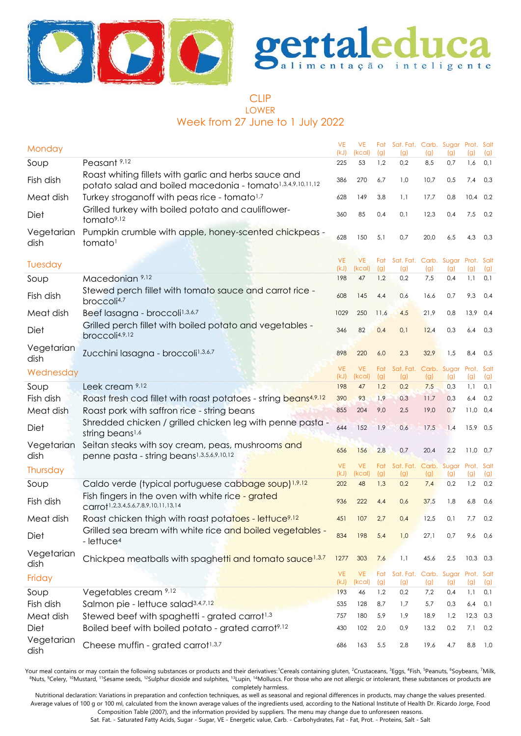



# CLIP LOWER Week from 27 June to 1 July 2022

|                    |                                                                                                                                 | <b>VE</b>         | <b>VE</b>           | Fat        | Sat. Fat. Carb. Sugar Prot. Salt |            |                         |            |            |
|--------------------|---------------------------------------------------------------------------------------------------------------------------------|-------------------|---------------------|------------|----------------------------------|------------|-------------------------|------------|------------|
| Monday             |                                                                                                                                 | (kJ)              | (kcal)              | (g)        | (g)                              | (g)        | $\mathfrak{g}$          | (g)        | (g)        |
| Soup               | Peasant <sup>9,12</sup>                                                                                                         | 225               | 53                  | 1,2        | 0,2                              | 8,5        | 0,7                     | 1,6        | 0,1        |
| Fish dish          | Roast whiting fillets with garlic and herbs sauce and<br>potato salad and boiled macedonia - tomato <sup>1,3,4,9,10,11,12</sup> | 386               | 270                 | 6,7        | 1,0                              | 10,7       | 0,5                     | 7,4        | 0,3        |
| Meat dish          | Turkey stroganoff with peas rice - tomato <sup>1,7</sup>                                                                        | 628               | 149                 | 3,8        | 1,1                              | 17,7       | 0,8                     | $10,4$ 0,2 |            |
| Diet               | Grilled turkey with boiled potato and cauliflower-<br>tomato <sup>9,12</sup>                                                    | 360               | 85                  | 0,4        | 0,1                              | 12,3       | 0,4                     | 7,5        | 0,2        |
| Vegetarian<br>dish | Pumpkin crumble with apple, honey-scented chickpeas -<br>tomato <sup>1</sup>                                                    | 628               | 150                 | 5,1        | 0,7                              | 20,0       | 6,5                     | 4,3        | 0,3        |
| Tuesday            |                                                                                                                                 | <b>VE</b>         | <b>VE</b>           | Fat        | Sat. Fat. Carb. Sugar Prot. Salt |            |                         |            |            |
|                    |                                                                                                                                 | (kJ)              | (kcal)              | (g)        | (g)                              | (g)        | (g)                     | (g)        | (g)        |
| Soup               | Macedonian 9,12                                                                                                                 | 198               | 47                  | 1,2        | 0,2                              | 7,5        | 0,4                     | 1,1        | 0,1        |
| Fish dish          | Stewed perch fillet with tomato sauce and carrot rice -<br>broccoli <sup>4,7</sup>                                              | 608               | 145                 | 4,4        | 0,6                              | 16,6       | 0,7                     | 9,3        | 0,4        |
| Meat dish          | Beef lasagna - broccoli <sup>1,3,6,7</sup>                                                                                      | 1029              | 250                 | 11,6       | 4,5                              | 21,9       | 0,8                     | $13,9$ 0,4 |            |
| Diet               | Grilled perch fillet with boiled potato and vegetables -<br>broccoli4,9,12                                                      | 346               | 82                  | 0,4        | 0,1                              | 12,4       | 0,3                     | 6,4        | 0,3        |
| Vegetarian<br>dish | Zucchini lasagna - broccoli <sup>1,3,6,7</sup>                                                                                  | 898               | 220                 | 6,0        | 2,3                              | 32,9       | 1,5                     | 8,4        | 0,5        |
| Wednesday          |                                                                                                                                 | <b>VE</b>         | <b>VE</b>           | Fat        | Sat. Fat.                        | Carb.      | Sugar                   | Prot. Salt |            |
| Soup               | Leek cream 9,12                                                                                                                 | (kJ)<br>198       | (kcal)<br>47        | (g)<br>1,2 | (g)<br>0,2                       | (g)<br>7,5 | (g)<br>0,3              | (g)<br>1,1 | (g)<br>0,1 |
| Fish dish          | Roast fresh cod fillet with roast potatoes - string beans4,9,12                                                                 | 390               | 93                  | 1,9        | 0,3                              | 11,7       | 0,3                     | 6,4        | 0,2        |
| Meat dish          | Roast pork with saffron rice - string beans                                                                                     | 855               | 204                 | 9,0        | 2,5                              | 19,0       | 0,7                     | 11,0       | 0,4        |
|                    | Shredded chicken / grilled chicken leg with penne pasta -                                                                       |                   |                     |            |                                  |            |                         |            |            |
| Diet               | string beans <sup>1,6</sup>                                                                                                     | 644               | 152                 | 1,9        | 0,6                              | 17,5       | 1,4                     | 15,9 0,5   |            |
| Vegetarian<br>dish | Seitan steaks with soy cream, peas, mushrooms and<br>penne pasta - string beans <sup>1,3,5,6,9,10,12</sup>                      | 656               | 156                 | 2,8        | 0,7                              | 20,4       | 2,2                     | $11,0$ 0,7 |            |
| Thursday           |                                                                                                                                 | <b>VE</b><br>(kJ) | <b>VE</b><br>(kcal) | Fat<br>(g) | Sat. Fat. Carb.<br>(g)           | (g)        | Sugar Prot. Salt<br>(g) | (g)        | (g)        |
| Soup               | Caldo verde (typical portuguese cabbage soup) <sup>1,9,12</sup>                                                                 | 202               | 48                  | 1,3        | 0,2                              | 7,4        | 0,2                     | 1,2        | 0,2        |
|                    | Fish fingers in the oven with white rice - grated                                                                               |                   |                     |            |                                  |            |                         |            |            |
| Fish dish          | Carrot <sup>1,2,3,4,5,6,7,8,9,10,11,13,14</sup>                                                                                 | 936               | 222                 | 4,4        | 0,6                              | 37,5       | 1,8                     | 6,8        | 0,6        |
| Meat dish          | Roast chicken thigh with roast potatoes - lettuce <sup>9,12</sup>                                                               | 451               | 107                 | 2,7        | 0,4                              | 12,5       | 0,1                     | 7,7        | 0,2        |
| Diet               | Grilled sea bream with white rice and boiled vegetables -<br>$-$ lettuce <sup>4</sup>                                           | 834               | 198                 | 5,4        | 1,0                              | 27,1       | 0,7                     | 9,6        | 0,6        |
| Vegetarian<br>dish | Chickpea meatballs with spaghetti and tomato sauce <sup>1,3,7</sup>                                                             | 1277              | 303                 | 7,6        | 1,1                              | 45,6       | 2,5                     | $10,3$ 0,3 |            |
| Friday             |                                                                                                                                 | <b>VE</b>         | <b>VE</b>           | Fat        | Sat. Fat. Carb. Sugar Prot. Salt |            |                         |            |            |
| Soup               | Vegetables cream 9,12                                                                                                           | (kJ)<br>193       | (kcal)<br>46        | (g)<br>1,2 | (g)<br>0,2                       | (g)<br>7,2 | (g)<br>0,4              | (g)<br>1,1 | (g)<br>0,1 |
| Fish dish          | Salmon pie - lettuce salad <sup>3,4,7,12</sup>                                                                                  | 535               | 128                 | 8,7        | 1,7                              | 5,7        | 0,3                     | 6,4        | 0,1        |
| Meat dish          | Stewed beef with spaghetti - grated carrot <sup>1,3</sup>                                                                       | 757               | 180                 | 5,9        | 1,9                              | 18,9       | 1,2                     | 12,3       | 0,3        |
| Diet               | Boiled beef with boiled potato - grated carrot9,12                                                                              | 430               | 102                 | 2,0        | 0,9                              | 13,2       | $0,2$                   | 7,1        | 0,2        |
| Vegetarian         |                                                                                                                                 |                   |                     |            |                                  |            |                         |            |            |
| dish               | Cheese muffin - grated carrot <sup>1,3,7</sup>                                                                                  | 686               | 163                 | 5,5        | 2,8                              | 19,6       | 4,7                     | 8,8        | 1,0        |

Your meal contains or may contain the following substances or products and their derivatives:<sup>1</sup>Cereals containing gluten, <sup>2</sup>Crustaceans, <sup>3</sup>Eggs, <sup>4</sup>Fish, <sup>5</sup>Peanuts, <sup>6</sup>Soybeans, <sup>7</sup>Milk, 8Nuts, <sup>9</sup>Celery, <sup>10</sup>Mustard, <sup>11</sup>Sesame seeds, <sup>12</sup>Sulphur dioxide and sulphites, <sup>13</sup>Lupin, <sup>14</sup>Molluscs. For those who are not allergic or intolerant, these substances or products are completely harmless.

Nutritional declaration: Variations in preparation and confection techniques, as well as seasonal and regional differences in products, may change the values presented. Average values of 100 g or 100 ml, calculated from the known average values of the ingredients used, according to the National Institute of Health Dr. Ricardo Jorge, Food Composition Table (2007), and the information provided by suppliers. The menu may change due to unforeseen reasons.

Sat. Fat. - Saturated Fatty Acids, Sugar - Sugar, VE - Energetic value, Carb. - Carbohydrates, Fat - Fat, Prot. - Proteins, Salt - Salt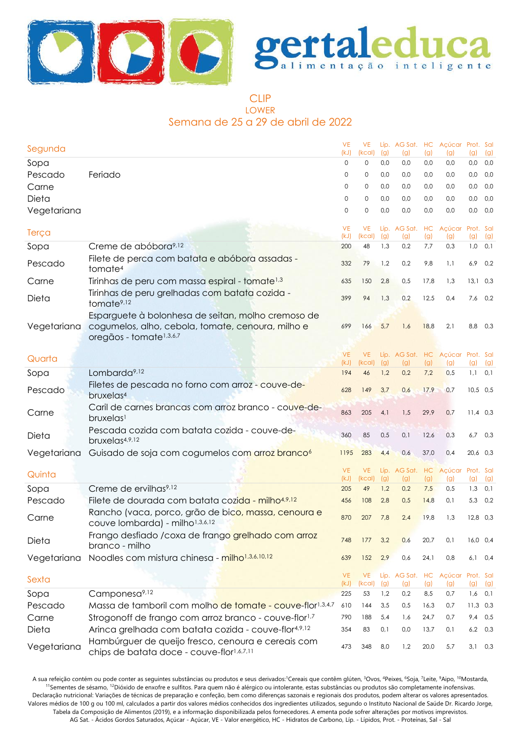



# CLIP LOWER Semana de 25 a 29 de abril de 2022

| Segunda     |                                                                                                                                                | <b>VE</b><br>(kJ) | <b>VE</b><br>(kcal) | (g)        | Líp. AG Sat. HC Açúcar Prot. Sal<br>(g) | (g)        | (g)                     | (g)        | (g)       |
|-------------|------------------------------------------------------------------------------------------------------------------------------------------------|-------------------|---------------------|------------|-----------------------------------------|------------|-------------------------|------------|-----------|
| Sopa        |                                                                                                                                                | $\mathbf 0$       | $\mathbf 0$         | 0.0        | 0,0                                     | 0,0        | 0,0                     | 0,0        | 0,0       |
| Pescado     | Feriado                                                                                                                                        | 0                 | 0                   | 0,0        | 0,0                                     | 0,0        | 0,0                     | 0,0        | 0,0       |
| Carne       |                                                                                                                                                | 0                 | 0                   | 0,0        | 0,0                                     | 0,0        | 0,0                     | 0,0        | 0,0       |
| Dieta       |                                                                                                                                                | 0                 | 0                   | 0,0        | 0,0                                     | 0,0        | 0,0                     | 0,0        | 0,0       |
| Vegetariana |                                                                                                                                                | 0                 | $\circ$             | 0,0        | 0,0                                     | 0,0        | 0,0                     | 0,0        | 0,0       |
| Terça       |                                                                                                                                                | <b>VE</b><br>(kJ) | <b>VE</b><br>(kcal) | (g)        | Líp. AG Sat.<br>(g)                     | HC<br>(g)  | Açúcar Prot. Sal<br>(g) | (g)        | (g)       |
| Sopa        | Creme de abóbora <sup>9,12</sup>                                                                                                               | 200               | 48                  | 1,3        | 0,2                                     | 7,7        | 0,3                     |            | $1,0$ 0,1 |
| Pescado     | Filete de perca com batata e abóbora assadas -<br>tomate <sup>4</sup>                                                                          | 332               | 79                  | 1,2        | 0,2                                     | 9,8        | 1,1                     | 6,9        | 0,2       |
| Carne       | Tirinhas de peru com massa espiral - tomate <sup>1,3</sup>                                                                                     | 635               | 150                 | 2,8        | 0,5                                     | 17,8       | 1,3                     | $13,1$ 0,3 |           |
| Dieta       | Tirinhas de peru grelhadas com batata cozida -<br>tomate <sup>9,12</sup>                                                                       | 399               | 94                  | 1,3        | 0,2                                     | 12,5       | 0,4                     |            | $7,6$ 0,2 |
| Vegetariana | Esparguete à bolonhesa de seitan, molho cremoso de<br>cogumelos, alho, cebola, tomate, cenoura, milho e<br>oregãos - tomate <sup>1,3,6,7</sup> | 699               | 166                 | 5,7        | 1,6                                     | 18,8       | 2,1                     |            | 8,8 0,3   |
| Quarta      |                                                                                                                                                | <b>VE</b>         | <b>VE</b>           |            | Líp. AG Sat.                            |            | HC Açúcar Prot. Sal     |            |           |
|             | Lombarda <sup>9,12</sup>                                                                                                                       | (kJ)              | (kcal)              | (g)<br>1,2 | (g)                                     | (g)<br>7,2 | (g)                     | (g)        | (g)       |
| Sopa        |                                                                                                                                                | 194               | 46                  |            | 0,2                                     |            | 0,5                     | $1,1$ 0,1  |           |
| Pescado     | Filetes de pescada no forno com arroz - couve-de-<br>bruxelas <sup>4</sup>                                                                     | 628               | 149                 | 3,7        | 0,6                                     | 17,9       | 0,7                     | $10,5$ 0,5 |           |
| Carne       | Caril de carnes brancas com arroz branco - couve-de-<br>bruxelas <sup>1</sup>                                                                  | 863               | 205                 | 4,1        | 1,5                                     | 29,9       | 0,7                     | $11,4$ 0,3 |           |
| Dieta       | Pescada cozida com batata cozida - couve-de-<br>bruxelas4,9,12                                                                                 | 360               | 85                  | 0,5        | 0,1                                     | 12,6       | 0,3                     |            | $6,7$ 0,3 |
| Vegetariana | Guisado de soja com cogumelos com arroz branco <sup>6</sup>                                                                                    | 1195              | 283                 | 4,4        | 0,6                                     | 37,0       | 0,4                     | 20,6 0,3   |           |
| Quinta      |                                                                                                                                                | <b>VE</b><br>(kJ) | <b>VE</b><br>(kcal) | (g)        | Líp. AG Sat.<br>(g)                     | HC<br>(g)  | Açúcar Prot. Sal<br>(g) | (g)        | (g)       |
| Sopa        | Creme de ervilhas <sup>9,12</sup>                                                                                                              | 205               | 49                  | 1,2        | 0,2                                     | 7,5        | 0,5                     | 1,3        | 0,1       |
| Pescado     | Filete de dourada com batata cozida - milho4,9,12                                                                                              | 456               | 108                 | 2,8        | 0,5                                     | 14,8       | 0,1                     |            | 5,3 0,2   |
| Carne       | Rancho (vaca, porco, grão de bico, massa, cenoura e<br>couve lombarda) - milho <sup>1,3,6,12</sup>                                             | 870               | 207                 | 7,8        | 2,4                                     | 19,8       | 1,3                     | $12,8$ 0,3 |           |
| Dieta       | Frango desfiado / coxa de frango grelhado com arroz<br>branco - milho                                                                          | 748               | 177                 | 3,2        | 0,6                                     | 20,7       | 0,1                     | $16,0$ 0,4 |           |
| Vegetariana | Noodles com mistura chinesa - milho <sup>1,3,6,10,12</sup>                                                                                     | 639               | 152                 | 2,9        | 0,6                                     | 24,1       | 0,8                     |            | $6,1$ 0,4 |
| Sexta       |                                                                                                                                                | <b>VE</b><br>(kJ) | <b>VE</b><br>(kcal) | (g)        | Líp. AG Sat. HC Açúcar Prot. Sal<br>(g) | (g)        | (g)                     | (g)        | (g)       |
| Sopa        | Camponesa <sup>9,12</sup>                                                                                                                      | 225               | 53                  | 1,2        | 0,2                                     | 8,5        | 0,7                     | 1,6        | 0,1       |
| Pescado     | Massa de tamboril com molho de tomate - couve-flor <sup>1,3,4,7</sup>                                                                          | 610               | 144                 | 3,5        | 0,5                                     | 16,3       | 0,7                     | $11,3$ 0,3 |           |
| Carne       | Strogonoff de frango com arroz branco - couve-flor <sup>1,7</sup>                                                                              | 790               | 188                 | 5,4        | 1,6                                     | 24,7       | 0,7                     | 9,4        | 0,5       |
| Dieta       | Arinca grelhada com batata cozida - couve-flor4,9,12                                                                                           | 354               | 83                  | 0,1        | 0,0                                     | 13,7       | 0,1                     |            | $6,2$ 0,3 |
| Vegetariana | Hambúrguer de queijo fresco, cenoura e cereais com<br>chips de batata doce - couve-flor1,6,7,11                                                | 473               | 348                 | 8,0        | 1,2                                     | 20,0       | 5,7                     |            | $3,1$ 0,3 |

A sua refeição contém ou pode conter as seguintes substâncias ou produtos e seus derivados:<sup>1</sup>Cereais que contêm glúten, <sup>3</sup>Ovos, <sup>4</sup>Peixes, <sup>6</sup>Soja, <sup>7</sup>Leite, <sup>9</sup>Aipo, <sup>10</sup>Mostarda, <sup>11</sup>Sementes de sésamo, <sup>12</sup>Dióxido de enxofre e sulfitos. Para quem não é alérgico ou intolerante, estas substâncias ou produtos são completamente inofensivas. Declaração nutricional: Variações de técnicas de preparação e confeção, bem como diferenças sazonais e regionais dos produtos, podem alterar os valores apresentados. Valores médios de 100 g ou 100 ml, calculados a partir dos valores médios conhecidos dos ingredientes utilizados, segundo o Instituto Nacional de Saúde Dr. Ricardo Jorge, Tabela da Composição de Alimentos (2019), e a informação disponibilizada pelos fornecedores. A ementa pode sofrer alterações por motivos imprevistos. AG Sat. - Ácidos Gordos Saturados, Açúcar - Açúcar, VE - Valor energético, HC - Hidratos de Carbono, Líp. - Lípidos, Prot. - Proteínas, Sal - Sal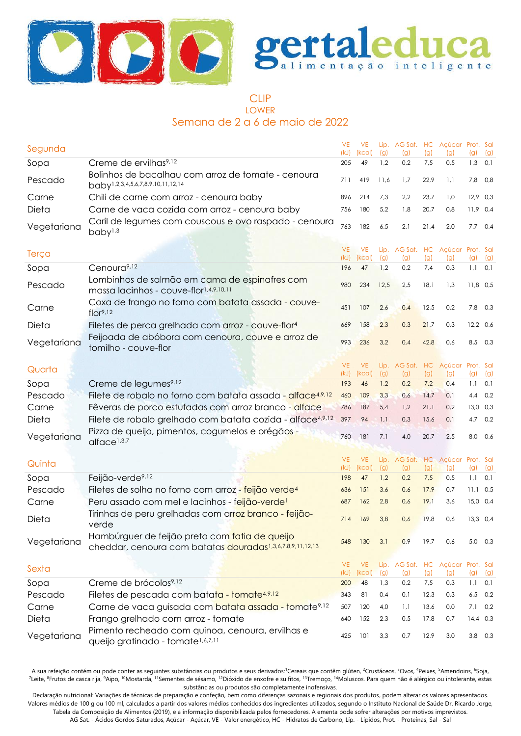



# CLIP LOWER Semana de 2 a 6 de maio de 2022

| Segunda        |                                                                                                                  | <b>VE</b><br>(kJ) | <b>VE</b><br>(kcal) | Líp.<br>(g) | AG Sat. HC<br>(g)                | (g)          | Acúcar Prot. Sal<br>(g) | (g)               | (g)       |
|----------------|------------------------------------------------------------------------------------------------------------------|-------------------|---------------------|-------------|----------------------------------|--------------|-------------------------|-------------------|-----------|
| Sopa           | Creme de ervilhas <sup>9,12</sup>                                                                                | 205               | 49                  | 1,2         | 0,2                              | 7,5          | 0,5                     | 1,3               | 0,1       |
| Pescado        | Bolinhos de bacalhau com arroz de tomate - cenoura<br>baby <sup>1,2,3,4,5,6,7,8,9,10,11,12,14</sup>              | 711               | 419                 | 11,6        | 1,7                              | 22,9         | 1,1                     |                   | 7,8 0,8   |
| Carne          | Chili de carne com arroz - cenoura baby                                                                          | 896               | 214                 | 7,3         | 2,2                              | 23,7         | 1,0                     | $12,9$ 0,3        |           |
| Dieta          | Carne de vaca cozida com arroz - cenoura baby                                                                    | 756               | 180                 | 5,2         | 1,8                              | 20,7         | 0,8                     | $11,9$ 0,4        |           |
| Vegetariana    | Caril de legumes com couscous e ovo raspado - cenoura<br>baby <sup>1,3</sup>                                     | 763               | 182                 | 6,5         | 2,1                              | 21,4         | 2,0                     |                   | $7,7$ 0,4 |
| Terça          |                                                                                                                  | <b>VE</b><br>(kJ) | <b>VE</b><br>(kcal) | Líp.<br>(g) | AG Sat.<br>(g)                   | HC<br>(g)    | Açúcar Prot. Sal<br>(g) | (g)               | (g)       |
| Sopa           | Cenoura <sup>9,12</sup>                                                                                          | 196               | 47                  | 1,2         | 0,2                              | 7,4          | 0,3                     | 1,1               | 0,1       |
| Pescado        | Lombinhos de salmão em cama de espinafres com<br>massa lacinhos - couve-flor1,4,9,10,11                          | 980               | 234                 | 12,5        | 2,5                              | 18,1         | 1,3                     | $11,8$ 0,5        |           |
| Carne          | Coxa de frango no forno com batata assada - couve-<br>flor <sup>9,12</sup>                                       | 451               | 107                 | 2,6         | 0,4                              | 12,5         | 0,2                     | 7,8               | 0,3       |
| Dieta          | Filetes de perca grelhada com arroz - couve-flor <sup>4</sup>                                                    | 669               | 158                 | 2,3         | 0,3                              | 21,7         | 0,3                     | $12,2$ 0,6        |           |
| Vegetariana    | Feijoada de abóbora com cenoura, couve e arroz de<br>tomilho - couve-flor                                        | 993               | 236                 | 3,2         | 0,4                              | 42,8         | 0,6                     |                   | 8,5 0,3   |
| Quarta         |                                                                                                                  | <b>VE</b><br>(kJ) | <b>VE</b><br>(kcal) | Líp.<br>(g) | AG Sat.<br>(g)                   | HC<br>(g)    | Açúcar<br>(g)           | Prot. Sal<br>(g)  | (g)       |
| Sopa           | Creme de legumes <sup>9,12</sup>                                                                                 | 193               | 46                  | 1,2         | 0,2                              | 7,2          | 0,4                     | 1,1               | 0,1       |
| Pescado        | Filete de robalo no forno com batata assada - alface <sup>4,9,12</sup>                                           | 460               | 109                 | 3,3         | 0,6                              | 14,7         | 0,1                     | 4,4               | 0,2       |
| Carne          | Fêveras de porco estufadas com arroz branco - alface                                                             | 786               | 187                 | 5,4         | 1,2                              | 21,1         | 0,2                     | $13,0$ 0,3        |           |
| Dieta          | Filete de robalo grelhado com batata cozida - alface <sup>4,9,12</sup>                                           | 397               | 94                  | 1,1         | 0,3                              | 15,6         | 0,1                     | 4,7               | 0,2       |
| Vegetariana    | Pizza de queijo, pimentos, cogumelos e orégãos -<br>alface <sup>1,3,7</sup>                                      | 760               | 181                 | 7,1         | 4,0                              | 20,7         | 2,5                     | 8,0               | 0,6       |
|                |                                                                                                                  | <b>VE</b>         | <b>VE</b>           | Líp.        | AG Sat.                          |              | HC Açúcar Prot. Sal     |                   |           |
| Quinta         |                                                                                                                  | (kJ)              | (kcal)              | (g)         | (g)                              | (g)          | (g)                     | (g)               | (g)       |
| Sopa           | Feijão-verde <sup>9,12</sup>                                                                                     | 198               | 47                  | 1,2         | 0,2                              | 7,5          | 0,5                     | 1,1               | 0,1       |
| Pescado        | Filetes de solha no forno com arroz - feijão verde <sup>4</sup>                                                  | 636               | 151                 | 3,6         | 0,6                              | 17,9         | 0,7                     | $11,1$ 0,5        |           |
| Carne          | Peru assado com mel e lacinhos - feijão-verde!                                                                   | 687               | 162                 | 2,8         | 0,6                              | 19,1         | 3,6                     | $15,0$ 0,4        |           |
| Dieta          | Tirinhas de peru grelhadas com arroz branco - feijão-<br>verde                                                   | 714               | 169                 | 3,8         | 0,6                              | 19,8         | 0,6                     | $13,3$ 0,4        |           |
| Vegetariana    | Hambúrguer de feijão preto com fatia de queijo<br>cheddar, cenoura com batatas douradas1,3,6,7,8,9,11,12,13      | 548               | 130                 | 3,1         | 0,9                              | 19,7         | 0,6                     |                   | 5,0 0,3   |
| Sexta          |                                                                                                                  | VE                | <b>VE</b>           |             | Líp. AG Sat. HC Açúcar Prot. Sal |              |                         |                   |           |
|                |                                                                                                                  | (kJ)              | (kcal)              | (g)         | (g)                              | (g)          | (g)                     | (g)               | (g)       |
| Sopa           | Creme de brócolos <sup>9,12</sup>                                                                                | 200               | 48                  | 1,3         | 0,2                              | 7,5          | 0,3                     | 1,1               | 0,1       |
| Pescado        | Filetes de pescada com batata - tomate4,9,12<br>Carne de vaca guisada com batata assada - tomate <sup>9,12</sup> | 343               | 81                  | 0,4         | 0,1                              | 12,3<br>13,6 | 0,3<br>0,0              | 6,5               | 0,2       |
| Carne<br>Dieta | Frango grelhado com arroz - tomate                                                                               | 507<br>640        | 120<br>152          | 4,0<br>2,3  | 1,1<br>0,5                       | 17,8         | 0,7                     | 7,1<br>$14,4$ 0,3 | 0,2       |
|                | Pimento recheado com quinoa, cenoura, ervilhas e                                                                 |                   |                     |             |                                  |              |                         |                   |           |
| Vegetariana    | queijo gratinado - tomate <sup>1,6,7,11</sup>                                                                    | 425               | 101                 | 3,3         | 0,7                              | 12,9         | 3,0                     |                   | $3,8$ 0,3 |

A sua refeição contém ou pode conter as seguintes substâncias ou produtos e seus derivados:<sup>1</sup>Cereais que contêm glúten, <sup>2</sup>Crustáceos, <sup>3</sup>Ovos, <sup>4</sup>Peixes, <sup>5</sup>Amendoins, <sup>6</sup>Soja, <sup>7</sup>Leite, <sup>8</sup>Frutos de casca rija, <sup>9</sup>Aipo, <sup>10</sup>Mostarda, <sup>11</sup>Sementes de sésamo, <sup>12</sup>Dióxido de enxofre e sulfitos, <sup>13</sup>Tremoço, <sup>14</sup>Moluscos. Para quem não é alérgico ou intolerante, estas substâncias ou produtos são completamente inofensivas.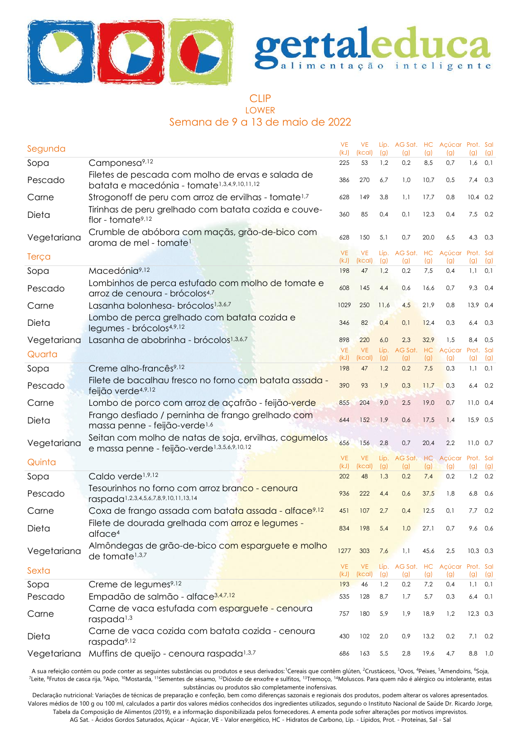



#### CLIP LOWER Semana de 9 a 13 de maio de 2022

| Segunda     |                                                                                                                   | <b>VE</b><br>(kJ) | <b>VE</b><br>(kcal) | (g)         | Líp. AG Sat. HC Açúcar Prot. Sal<br>(g) | (g)  | (g)                                | (g)              | (g)        |
|-------------|-------------------------------------------------------------------------------------------------------------------|-------------------|---------------------|-------------|-----------------------------------------|------|------------------------------------|------------------|------------|
| Sopa        | Camponesa <sup>9,12</sup>                                                                                         | 225               | 53                  | 1,2         | 0,2                                     | 8,5  | 0,7                                | 1,6              | 0,1        |
| Pescado     | Filetes de pescada com molho de ervas e salada de<br>batata e macedónia - tomate <sup>1,3,4,9,10,11,12</sup>      | 386               | 270                 | 6,7         | 1,0                                     | 10,7 | 0,5                                | 7,4              | 0,3        |
| Carne       | Strogonoff de peru com arroz de ervilhas - tomate <sup>1,7</sup>                                                  | 628               | 149                 | 3,8         | 1,1                                     | 17,7 | 0,8                                |                  | $10,4$ 0,2 |
| Dieta       | Tirinhas de peru grelhado com batata cozida e couve-<br>flor - tomate <sup>9,12</sup>                             | 360               | 85                  | 0,4         | 0,1                                     | 12,3 | 0,4                                |                  | $7,5$ 0,2  |
| Vegetariana | Crumble de abóbora com maçãs, grão-de-bico com<br>aroma de mel - tomate <sup>1</sup>                              | 628               | 150                 | 5,1         | 0,7                                     | 20,0 | 6,5                                | 4,3              | 0,3        |
| Terça       |                                                                                                                   | <b>VE</b><br>(kJ) | <b>VE</b><br>(kcal) | Líp.<br>(g) | AG Sat. HC<br>(g)                       | (g)  | Açúcar<br>(g)                      | Prot. Sal<br>(g) | (g)        |
| Sopa        | Macedónia <sup>9,12</sup>                                                                                         | 198               | 47                  | 1,2         | 0,2                                     | 7,5  | 0,4                                |                  | $1,1$ 0,1  |
| Pescado     | Lombinhos de perca estufado com molho de tomate e<br>arroz de cenoura - brócolos <sup>4,7</sup>                   | 608               | 145                 | 4,4         | 0,6                                     | 16,6 | 0,7                                |                  | $9,3$ 0,4  |
| Carne       | Lasanha bolonhesa- brócolos <sup>1,3,6,7</sup>                                                                    | 1029              | 250                 | 11,6        | 4,5                                     | 21,9 | 0,8                                | 13,9 0,4         |            |
| Dieta       | Lombo de perca grelhado com batata cozida e<br>legumes - brócolos4,9,12                                           | 346               | 82                  | 0,4         | 0,1                                     | 12,4 | 0,3                                |                  | $6,4$ 0,3  |
| Vegetariana | Lasanha de abobrinha - brócolos <sup>1,3,6,7</sup>                                                                | 898               | 220                 | 6,0         | 2,3                                     | 32,9 | 1,5                                | 8,4              | 0,5        |
| Quarta      |                                                                                                                   | <b>VE</b><br>(kJ) | <b>VE</b><br>(kcal) | Líp.<br>(g) | AG Sat.<br>(g)                          | (g)  | HC Açúcar<br>(g)                   | Prot. Sal<br>(g) | (g)        |
| Sopa        | Creme alho-francês <sup>9,12</sup>                                                                                | 198               | 47                  | 1,2         | 0,2                                     | 7,5  | 0,3                                | 1,1              | 0,1        |
| Pescado     | Filete de bacalhau fresco no forno com batata assada -<br>feijão verde <sup>4,9,12</sup>                          | 390               | 93                  | 1,9         | 0,3                                     | 11,7 | 0,3                                |                  | $6,4$ 0,2  |
| Carne       | Lombo de porco com arroz de açafrão - feijão-verde                                                                | 855               | 204                 | 9,0         | 2,5                                     | 19,0 | 0,7                                | $11,0$ 0,4       |            |
| Dieta       | Frango desfiado / perninha de frango grelhado com<br>massa penne - feijão-verde <sup>1,6</sup>                    | 644               | 152                 | 1,9         | 0,6                                     | 17,5 | 1,4                                | 15,9 0,5         |            |
| Vegetariana | Seitan com molho de natas de soja, ervilhas, cogumelos<br>e massa penne - feijão-verde <sup>1,3,5,6,9,10,12</sup> | 656               | 156                 | 2,8         | 0,7                                     | 20,4 | 2,2                                | $11,0$ 0,7       |            |
| Quinta      |                                                                                                                   | <b>VE</b><br>(kJ) | <b>VE</b><br>(kcal) | Líp.<br>(g) | (g)                                     | (g)  | AG Sat. HC Açúcar Prot. Sal<br>(g) | (g)              | (g)        |
| Sopa        | Caldo verde <sup>1,9,12</sup>                                                                                     | 202               | 48                  | 1,3         | 0,2                                     | 7,4  | 0,2                                |                  | $1,2$ 0,2  |
| Pescado     | Tesourinhos no forno com arroz branco - cenoura<br>raspada <sup>1,2,3,4,5,6,7,8,9,10,11,13,14</sup>               | 936               | 222                 | 4,4         | 0,6                                     | 37,5 | 1,8                                | 6,8              | 0,6        |
| Carne       | Coxa de frango assada com batata assada - alface <sup>9,12</sup>                                                  | 451               | 107                 | 2,7         | 0,4                                     | 12,5 | 0,1                                | 7,7              | 0,2        |
| Dieta       | Filete de dourada grelhada com arroz e legumes -<br>altace <sup>4</sup>                                           | 834               | 198                 | 5,4         | 1,0                                     | 27,1 | 0,7                                |                  | 9,6 0,6    |
| Vegetariana | Almôndegas de grão-de-bico com esparguete e molho<br>de tomate <sup>1,3,7</sup>                                   | 1277              | 303                 | 7,6         | 1,1                                     | 45,6 | 2,5                                |                  | $10,3$ 0,3 |
| Sexta       |                                                                                                                   | VE.<br>(kJ)       | <b>VE</b><br>(kcal) | Líp.<br>(g) | AG Sat. HC Açúcar Prot. Sal<br>(g)      | (g)  | (g)                                | (g)              | (g)        |
| Sopa        | Creme de legumes <sup>9,12</sup>                                                                                  | 193               | 46                  | 1,2         | 0,2                                     | 7,2  | 0,4                                | 1,1              | 0,1        |
| Pescado     | Empadão de salmão - alface <sup>3,4,7,12</sup>                                                                    | 535               | 128                 | 8,7         | 1,7                                     | 5,7  | 0,3                                | 6,4              | 0,1        |
| Carne       | Carne de vaca estufada com esparguete - cenoura<br>raspada <sup>1,3</sup>                                         | 757               | 180                 | 5,9         | 1,9                                     | 18,9 | 1,2                                |                  | $12,3$ 0,3 |
| Dieta       | Carne de vaca cozida com batata cozida - cenoura<br>raspada <sup>9,12</sup>                                       | 430               | 102                 | 2,0         | 0,9                                     | 13,2 | 0,2                                |                  | $7,1$ 0,2  |
| Vegetariana | Muffins de queijo - cenoura raspada <sup>1,3,7</sup>                                                              | 686               | 163                 | 5,5         | 2,8                                     | 19,6 | 4,7                                |                  | $8,8$ 1,0  |

A sua refeição contém ou pode conter as seguintes substâncias ou produtos e seus derivados:<sup>1</sup>Cereais que contêm glúten, <sup>2</sup>Crustáceos, <sup>3</sup>Ovos, <sup>4</sup>Peixes, <sup>5</sup>Amendoins, <sup>6</sup>Soja, <sup>7</sup>Leite, <sup>8</sup>Frutos de casca rija, <sup>9</sup>Aipo, <sup>10</sup>Mostarda, <sup>11</sup>Sementes de sésamo, <sup>12</sup>Dióxido de enxofre e sulfitos, <sup>13</sup>Tremoço, <sup>14</sup>Moluscos. Para quem não é alérgico ou intolerante, estas substâncias ou produtos são completamente inofensivas.

Declaração nutricional: Variações de técnicas de preparação e confeção, bem como diferenças sazonais e regionais dos produtos, podem alterar os valores apresentados. Valores médios de 100 g ou 100 ml, calculados a partir dos valores médios conhecidos dos ingredientes utilizados, segundo o Instituto Nacional de Saúde Dr. Ricardo Jorge, Tabela da Composição de Alimentos (2019), e a informação disponibilizada pelos fornecedores. A ementa pode sofrer alterações por motivos imprevistos.

AG Sat. - Ácidos Gordos Saturados, Açúcar - Açúcar, VE - Valor energético, HC - Hidratos de Carbono, Líp. - Lípidos, Prot. - Proteínas, Sal - Sal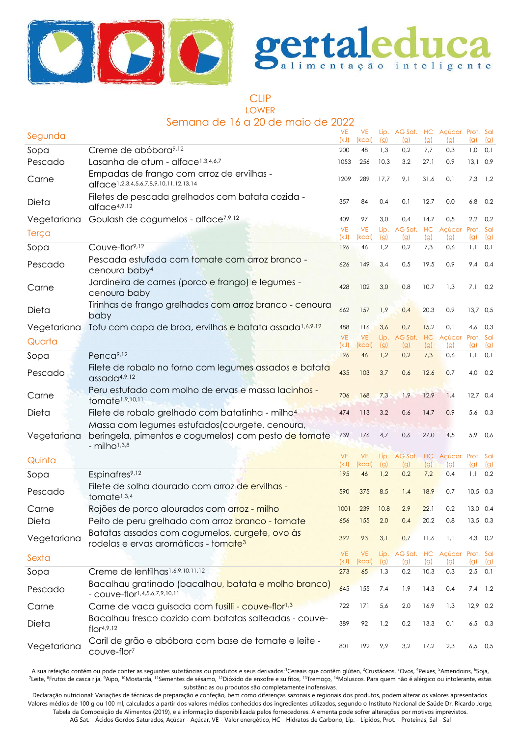



CLIP LOWER

# Semana de 16 a 20 de maio de 2022

| Segunda     |                                                                                                    | <b>VE</b><br>(kJ) | <b>VE</b><br>(kcal) | (g)         | Líp. AG Sat. HC Açúcar Prot. Sal<br>(g) | (g)         | (q)                         | (g)        | (g)              |
|-------------|----------------------------------------------------------------------------------------------------|-------------------|---------------------|-------------|-----------------------------------------|-------------|-----------------------------|------------|------------------|
| Sopa        | Creme de abóbora <sup>9,12</sup>                                                                   | 200               | 48                  | 1,3         | 0,2                                     | 7,7         | 0,3                         | 1,0        | 0,1              |
| Pescado     | Lasanha de atum - alface <sup>1,3,4,6,7</sup>                                                      | 1053              | 256                 | 10,3        | 3,2                                     | 27,1        | 0,9                         | 13,10,9    |                  |
| Carne       | Empadas de frango com arroz de ervilhas -<br>alface1,2,3,4,5,6,7,8,9,10,11,12,13,14                | 1209              | 289                 | 17,7        | 9,1                                     | 31,6        | 0,1                         | 7,3        | 1,2              |
| Dieta       | Filetes de pescada grelhados com batata cozida -<br>alface <sub>4,9,12</sub>                       | 357               | 84                  | 0,4         | 0,1                                     | 12,7        | 0,0                         | 6,8        | 0,2              |
| Vegetariana | Goulash de cogumelos - alface <sup>7,9,12</sup>                                                    | 409               | 97                  | 3,0         | 0,4                                     | 14,7        | 0,5                         | 2,2        | 0,2              |
| Terça       |                                                                                                    | <b>VE</b><br>(kJ) | <b>VE</b><br>(kcal) | Líp.<br>(g) | AG Sat. HC                              |             | Açúcar                      | Prot. Sal  |                  |
| Sopa        | Couve-flor9,12                                                                                     | 196               | 46                  | 1,2         | (g)<br>0,2                              | (g)<br>7,3  | (g)<br>0,6                  | (g)<br>1,1 | (g)<br>0,1       |
| Pescado     | Pescada estufada com tomate com arroz branco -<br>cenoura baby <sup>4</sup>                        | 626               | 149                 | 3,4         | 0,5                                     | 19,5        | 0,9                         | 9,4        | 0,4              |
| Carne       | Jardineira de carnes (porco e frango) e legumes -<br>cenoura baby                                  | 428               | 102                 | 3,0         | 0,8                                     | 10,7        | 1,3                         | 7,1        | 0,2              |
| Dieta       | Tirinhas de frango grelhadas com arroz branco - cenoura<br>baby                                    | 662               | 157                 | 1,9         | 0,4                                     | 20,3        | 0,9                         | 13,7 0,5   |                  |
| Vegetariana | Tofu com capa de broa, ervilhas e batata assada <sup>1,6,9,12</sup>                                | 488               | 116                 | 3,6         | 0,7                                     | 15,2        | 0,1                         | 4,6        | 0,3              |
| Quarta      |                                                                                                    | <b>VE</b>         | <b>VE</b>           | Líp.        | AG Sat. HC                              |             | Açúcar                      | Prot. Sal  |                  |
| Sopa        | Penca <sup>9,12</sup>                                                                              | (kJ)<br>196       | (kcal)<br>46        | (g)<br>1,2  | (g)<br>0,2                              | (g)<br>7,3  | (g)<br>0,6                  | (g)<br>1,1 | (g)<br>0,1       |
| Pescado     | Filete de robalo no forno com legumes assados e batata<br>assada <sup>4,9,12</sup>                 | 435               | 103                 | 3,7         | 0,6                                     | 12,6        | 0,7                         |            | 4,0 0,2          |
| Carne       | Peru estufado com molho de ervas e massa lacinhos -<br>tomate <sup>1,9,10,11</sup>                 | 706               | 168                 | 7,3         | 1,9                                     | 12,9        | 1,4                         | $12,7$ 0,4 |                  |
| Dieta       | Filete de robalo grelhado com batatinha - milho <sup>4</sup>                                       | 474               | 113                 | 3,2         | 0,6                                     | 14,7        | 0,9                         | 5,6        | 0,3              |
|             | Massa com legumes estufados (courgete, cenoura,                                                    |                   |                     |             |                                         |             |                             |            |                  |
| Vegetariana | beringela, pimentos e cogumelos) com pesto de tomate<br>- $milho1,3,8$                             | 739               | 176                 | 4,7         | 0,6                                     | 27,0        | 4,5                         | 5,9        | 0,6              |
| Quinta      |                                                                                                    | <b>VE</b>         | <b>VE</b>           | Líp.        |                                         |             | AG Sat. HC Açúcar Prot. Sal |            |                  |
| Sopa        | Espinafres <sup>9,12</sup>                                                                         | (kJ)<br>195       | (kcal)<br>46        | (g)<br>1,2  | (g)<br>0,2                              | (g)<br>7,2  | (g)<br>0,4                  | (g)        | (g)<br>$1,1$ 0.2 |
| Pescado     | Filete de solha dourado com arroz de ervilhas -<br>tomate <sup>1,3,4</sup>                         | 590               | 375                 | 8,5         | 1,4                                     | 18,9        | 0,7                         | $10,5$ 0,3 |                  |
| Carne       | Rojões de porco alourados com arroz - milho                                                        | 1001              | 239                 | 10,8        | 2,9                                     | 22,1        | 0,2                         | $13,0$ 0,4 |                  |
| Dieta       | Peito de peru grelhado com arroz branco - tomate                                                   | 656               | 155                 | 2,0         | 0,4                                     | 20,2        | 0,8                         |            | 13,5 0,3         |
| Vegetariana | Batatas assadas com cogumelos, curgete, ovo às<br>rodelas e ervas aromáticas - tomate <sup>3</sup> | 392               | 93                  | 3,1         | 0,7                                     | 11,6        | 1,1                         |            | 4,3 0,2          |
| Sexta       |                                                                                                    | <b>VE</b>         | <b>VE</b>           | Líp.        |                                         |             | AG Sat. HC Açúcar Prot. Sal |            |                  |
| Sopa        | Creme de lentilhas <sup>1,6,9,10,11,12</sup>                                                       | (kJ)<br>273       | (kcal)<br>65        | (g)<br>1,3  | (g)<br>0,2                              | (g)<br>10,3 | (g)<br>0,3                  | (g)<br>2,5 | (g)<br>0,1       |
| Pescado     | Bacalhau gratinado (bacalhau, batata e molho branco)<br>- COUVe-flor1,4,5,6,7,9,10,11              | 645               | 155                 | 7,4         | 1,9                                     | 14,3        | 0,4                         |            | $7,4$ 1,2        |
| Carne       | Carne de vaca guisada com fusilli - couve-flor <sup>1,3</sup>                                      | 722               | 171                 | 5,6         | 2,0                                     | 16,9        | 1,3                         | $12,9$ 0,2 |                  |
| Dieta       | Bacalhau fresco cozido com batatas salteadas - couve-<br>flor <sup>4,9,12</sup>                    | 389               | 92                  | 1,2         | 0,2                                     | 13,3        | 0,1                         |            | $6,5$ 0,3        |
| Vegetariana | Caril de grão e abóbora com base de tomate e leite -<br>couve-flor <sup>7</sup>                    | 801               | 192                 | 9,9         | 3,2                                     | 17,2        | 2,3                         |            | $6,5$ 0,5        |

A sua refeição contém ou pode conter as seguintes substâncias ou produtos e seus derivados: Cereais que contêm glúten, <sup>2</sup>Crustáceos, <sup>3</sup>Ovos, <sup>4</sup>Peixes, <sup>5</sup>Amendoins, <sup>6</sup>Soja, <sup>7</sup>Leite, <sup>8</sup>Frutos de casca rija, <sup>9</sup>Aipo, <sup>10</sup>Mostarda, <sup>11</sup>Sementes de sésamo, <sup>12</sup>Dióxido de enxofre e sulfitos, <sup>13</sup>Tremoço, <sup>14</sup>Moluscos. Para quem não é alérgico ou intolerante, estas substâncias ou produtos são completamente inofensivas.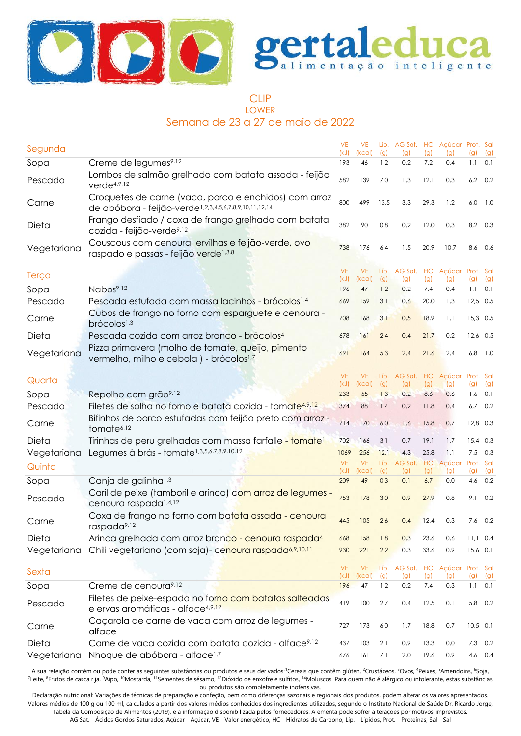



#### CLIP LOWER

Semana de 23 a 27 de maio de 2022

| Segunda     |                                                                                                                             | <b>VE</b><br>(kJ) | <b>VE</b><br>(kcal) | (g)         | Líp. AG Sat. HC Açúcar Prot. Sal<br>(g) | (g)       | (g)                     | (q)              | (g)         |
|-------------|-----------------------------------------------------------------------------------------------------------------------------|-------------------|---------------------|-------------|-----------------------------------------|-----------|-------------------------|------------------|-------------|
| Sopa        | Creme de legumes <sup>9,12</sup>                                                                                            | 193               | 46                  | 1,2         | 0,2                                     | 7,2       | 0,4                     | $1,1$ 0,1        |             |
| Pescado     | Lombos de salmão grelhado com batata assada - feijão<br>verde <sup>4,9,12</sup>                                             | 582               | 139                 | 7,0         | 1,3                                     | 12,1      | 0,3                     |                  | $6,2$ $0,2$ |
| Carne       | Croquetes de carne (vaca, porco e enchidos) com arroz<br>de abóbora - feijão-verde <sup>1,2,3,4,5,6,7,8,9,10,11,12,14</sup> | 800               | 499                 | 13,5        | 3,3                                     | 29,3      | 1,2                     | 6,0              | 1,0         |
| Dieta       | Frango desfiado / coxa de frango grelhada com batata<br>cozida - feijão-verde <sup>9,12</sup>                               | 382               | 90                  | 0,8         | 0,2                                     | 12,0      | 0,3                     | 8,2 0,3          |             |
| Vegetariana | Couscous com cenoura, ervilhas e feijão-verde, ovo<br>raspado e passas - feijão verde <sup>1,3,8</sup>                      | 738               | 176                 | 6,4         | 1,5                                     | 20,9      | 10,7                    | 8,6              | 0,6         |
|             |                                                                                                                             | <b>VE</b>         | VE                  |             | Líp. AG Sat. HC Açúcar Prot. Sal        |           |                         |                  |             |
| Terça       |                                                                                                                             | (kJ)              | (kcal)              | (g)         | (g)                                     | (g)       | (g)                     | (g)              | (g)         |
| Sopa        | Nabos <sup>9,12</sup>                                                                                                       | 196               | 47                  | 1,2         | 0,2                                     | 7,4       | 0,4                     | 1,1              | 0,1         |
| Pescado     | Pescada estufada com massa lacinhos - brócolos <sup>1,4</sup>                                                               | 669               | 159                 | 3,1         | 0,6                                     | 20,0      | 1,3                     | $12,5$ 0,5       |             |
| Carne       | Cubos de frango no forno com esparguete e cenoura -<br>brócolos <sup>1,3</sup>                                              | 708               | 168                 | 3,1         | 0,5                                     | 18,9      | 1,1                     | 15,3 0,5         |             |
| Dieta       | Pescada cozida com arroz branco - brócolos <sup>4</sup>                                                                     | 678               | 161                 | 2,4         | 0,4                                     | 21,7      | 0,2                     | $12,6$ 0,5       |             |
| Vegetariana | Pizza primavera (molho de tomate, queijo, pimento<br>vermelho, milho e cebola) - brócolos <sup>1,7</sup>                    | 691               | 164                 | 5,3         | 2,4                                     | 21,6      | 2,4                     | 6,8              | 1,0         |
|             |                                                                                                                             | <b>VE</b>         | <b>VE</b>           | Líp.        | AG Sat. HC                              |           | Açúcar Prot. Sal        |                  |             |
| Quarta      |                                                                                                                             | (kJ)              | (kcal)              | (g)         | (g)                                     | (g)       | (g)                     | (g)              | (g)         |
| Sopa        | Repolho com grão <sup>9,12</sup>                                                                                            | 233               | 55                  | 1,3         | 0,2                                     | 8,6       | 0,6                     | 1,6              | 0,1         |
| Pescado     | Filetes de solha no forno e batata cozida - tomate <sup>4,9,12</sup>                                                        | 374               | 88                  | 1.4         | 0,2                                     | 11,8      | 0,4                     |                  | $6,7$ 0,2   |
| Carne       | Bifinhos de porco estufadas com feijão preto com arroz -<br>tomate <sup>6,12</sup>                                          | 714               | 170                 | 6,0         | 1,6                                     | 15,8      | 0,7                     | $12,8$ 0,3       |             |
| Dieta       | Tirinhas de peru grelhadas com massa farfalle - tomate <sup>1</sup>                                                         | 702               | 166                 | 3,1         | 0,7                                     | 19,1      | 1,7                     | $15,4$ 0.3       |             |
| Vegetariana | Legumes à brás - tomate <sup>1,3,5,6,7,8,9,10,12</sup>                                                                      | 1069              | 256                 | 12,1        | 4,3                                     | 25,8      | 1.1                     | 7,5              | 0,3         |
| Quinta      |                                                                                                                             | <b>VE</b><br>(kJ) | <b>VE</b><br>(kcal) | Líp.<br>(g) | AG Sat.<br>(g)                          | HC<br>(g) | Açúcar<br>(g)           | Prot. Sal<br>(g) | (g)         |
| Sopa        | Canja de galinha <sup>1,3</sup>                                                                                             | 209               | 49                  | 0,3         | 0,1                                     | 6,7       | 0,0                     | 4,6              | 0,2         |
| Pescado     | Caril de peixe (tamboril e arinca) com arroz de legumes -<br>cenoura raspada <sup>1,4,12</sup>                              | 753               | 178                 | 3,0         | 0,9                                     | 27,9      | 0,8                     | $9,1$ 0,2        |             |
| Carne       | Coxa de frango no forno com batata assada - cenoura<br>raspada <sup>9,12</sup>                                              | 445               | 105                 | 2,6         | 0,4                                     | 12,4      | 0,3                     | 7,6              | 0,2         |
| Dieta       | Arinca grelhada com arroz branco - cenoura raspada <sup>4</sup>                                                             | 668               | 158                 | 1,8         | 0,3                                     | 23,6      | 0,6                     | $11,1$ 0.4       |             |
| Vegetariana | Chili vegetariano (com soja)- cenoura raspada <sup>6,9,10,11</sup>                                                          | 930               | 221                 | 2,2         | 0,3                                     | 33,6      | 0,9                     | $15,6$ 0,1       |             |
|             |                                                                                                                             |                   |                     |             |                                         |           |                         |                  |             |
| Sexta       |                                                                                                                             | <b>VE</b><br>(kJ) | <b>VE</b><br>(kcal) | Líp.<br>(g) | AG Sat. HC<br>(g)                       | (g)       | Açúcar Prot. Sal<br>(g) | (g)              | (g)         |
| Sopa        | Creme de cenoura <sup>9,12</sup>                                                                                            | 196               | 47                  | 1,2         | 0,2                                     | 7,4       | 0,3                     | $1,1$ 0,1        |             |
| Pescado     | Filetes de peixe-espada no forno com batatas salteadas<br>e ervas aromáticas - alface4,9,12                                 | 419               | 100                 | 2,7         | 0,4                                     | 12,5      | 0,1                     | 5,8 0,2          |             |
| Carne       | Caçarola de carne de vaca com arroz de legumes -<br>alface                                                                  | 727               | 173                 | 6,0         | 1,7                                     | 18,8      | 0,7                     | $10,5$ 0,1       |             |
| Dieta       | Carne de vaca cozida com batata cozida - alface <sup>9,12</sup>                                                             | 437               | 103                 | 2,1         | 0,9                                     | 13,3      | 0,0                     |                  | $7,3$ 0,2   |
| Vegetariana | Nhoque de abóbora - alface <sup>1,7</sup>                                                                                   | 676               | 161                 | 7,1         | 2,0                                     | 19,6      | 0,9                     |                  | $4,6$ 0,4   |

A sua refeição contém ou pode conter as seguintes substâncias ou produtos e seus derivados: Cereais que contêm glúten, <sup>2</sup>Crustáceos, <sup>3</sup>Ovos, <sup>4</sup>Peixes, <sup>5</sup>Amendoins, <sup>6</sup>Soja, <sup>7</sup>Leite, <sup>8</sup>Frutos de casca rija, <sup>9</sup>Aipo, <sup>10</sup>Mostarda, <sup>11</sup>Sementes de sésamo, <sup>12</sup>Dióxido de enxofre e sulfitos, <sup>14</sup>Moluscos. Para quem não é alérgico ou intolerante, estas substâncias ou produtos são completamente inofensivas.

Declaração nutricional: Variações de técnicas de preparação e confeção, bem como diferenças sazonais e regionais dos produtos, podem alterar os valores apresentados. Valores médios de 100 g ou 100 ml, calculados a partir dos valores médios conhecidos dos ingredientes utilizados, segundo o Instituto Nacional de Saúde Dr. Ricardo Jorge, Tabela da Composição de Alimentos (2019), e a informação disponibilizada pelos fornecedores. A ementa pode sofrer alterações por motivos imprevistos.

AG Sat. - Ácidos Gordos Saturados, Açúcar - Açúcar, VE - Valor energético, HC - Hidratos de Carbono, Líp. - Lípidos, Prot. - Proteínas, Sal - Sal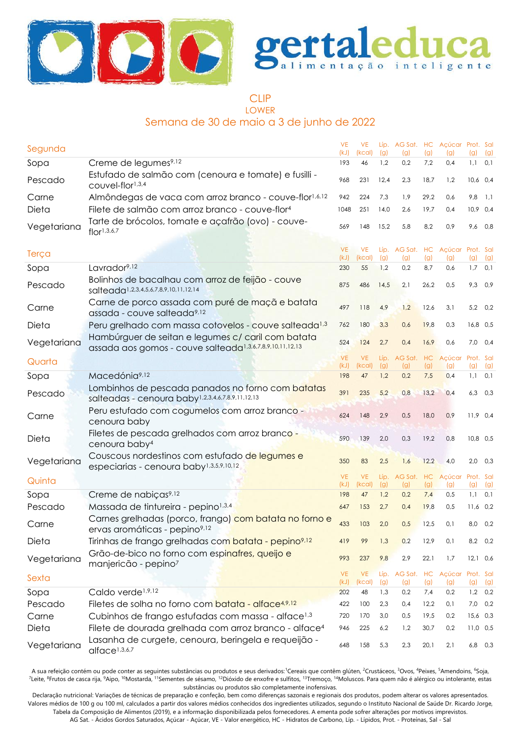



#### CLIP LOWER

# Semana de 30 de maio a 3 de junho de 2022

| Segunda     |                                                                                                                            | <b>VE</b><br>(kJ) | <b>VE</b><br>(kcal) | (g)         | Líp. AG Sat. HC Açúcar Prot. Sal<br>(g) | (g)       | (g)                        | (g)              | (g)       |
|-------------|----------------------------------------------------------------------------------------------------------------------------|-------------------|---------------------|-------------|-----------------------------------------|-----------|----------------------------|------------------|-----------|
| Sopa        | Creme de legumes <sup>9,12</sup>                                                                                           | 193               | 46                  | 1,2         | 0,2                                     | 7,2       | 0,4                        | $1,1$ 0.1        |           |
| Pescado     | Estufado de salmão com (cenoura e tomate) e fusilli -<br>couvel-flor1,3,4                                                  | 968               | 231                 | 12,4        | 2,3                                     | 18,7      | 1,2                        | $10,6$ 0,4       |           |
| Carne       | Almôndegas de vaca com arroz branco - couve-flor <sup>1,6,12</sup>                                                         | 942               | 224                 | 7,3         | 1,9                                     | 29,2      | 0,6                        | 9,8              | 1,1       |
| Dieta       | Filete de salmão com arroz branco - couve-flor <sup>4</sup>                                                                | 1048              | 251                 | 14,0        | 2,6                                     | 19,7      | 0,4                        | $10,9$ 0,4       |           |
| Vegetariana | Tarte de brócolos, tomate e açafrão (ovo) - couve-<br>flor <sup>1,3,6,7</sup>                                              | 569               | 148                 | 15,2        | 5,8                                     | 8,2       | 0,9                        |                  | 9,6 0,8   |
| Terça       |                                                                                                                            | <b>VE</b><br>(kJ) | <b>VE</b><br>(kcal) | (g)         | Líp. AG Sat. HC Açúcar Prot. Sal<br>(g) | (g)       | (g)                        | (g)              | (g)       |
| Sopa        | Lavrador <sup>9,12</sup>                                                                                                   | 230               | 55                  | 1,2         | 0,2                                     | 8,7       | 0,6                        |                  | $1,7$ 0,1 |
| Pescado     | Bolinhos de bacalhau com arroz de feijão - couve<br>salteada <sup>1,2,3,4,5,6,7,8,9,10,11,12,14</sup>                      | 875               | 486                 | 14,5        | 2,1                                     | 26,2      | 0,5                        | 9,3 0,9          |           |
| Carne       | Carne de porco assada com puré de maçã e batata<br>assada - couve salteada <sup>9,12</sup>                                 | 497               | 118                 | 4,9         | 1,2                                     | 12,6      | 3,1                        | 5,2 0,2          |           |
| Dieta       | Peru grelhado com massa cotovelos - couve salteada <sup>1,3</sup>                                                          | 762               | 180                 | 3,3         | 0,6                                     | 19,8      | 0,3                        | 16,8 0,5         |           |
| Vegetariana | Hambúrguer de seitan e legumes c/ caril com batata<br>assada aos gomos - couve salteada <sup>1,3,6,7,8,9,10,11,12,13</sup> | 524               | 124                 | 2,7         | 0,4                                     | 16,9      | 0,6                        | $7,0$ 0.4        |           |
| Quarta      |                                                                                                                            | <b>VE</b><br>(kJ) | <b>VE</b><br>(kcal) | Líp.<br>(g) | AG Sat.<br>(g)                          | HC<br>(g) | Açúcar<br>(g)              | Prot. Sal<br>(g) | (g)       |
| Sopa        | Macedónia <sup>9,12</sup>                                                                                                  | 198               | 47                  | 1,2         | 0,2                                     | 7,5       | 0,4                        |                  | $1,1$ 0,1 |
| Pescado     | Lombinhos de pescada panados no forno com batatas<br>salteadas - cenoura baby1,2,3,4,6,7,8,9,11,12,13                      | 391               | 235                 | 5,2         | 0,8                                     | 13,2      | 0,4                        |                  | $6,3$ 0,3 |
| Carne       | Peru estufado com cogumelos com arroz branco -<br>cenoura baby                                                             | 624               | 148                 | 2,9         | 0,5                                     | 18,0      | 0,9                        | $11,9$ 0,4       |           |
| Dieta       | Filetes de pescada grelhados com arroz branco -<br>cenoura baby <sup>4</sup>                                               | 590               | 139                 | 2,0         | 0,3                                     | 19,2      | 0,8                        | 10,8 0,5         |           |
| Vegetariana | Couscous nordestinos com estufado de legumes e<br>especiarias - cenoura baby <sup>1,3,5,9,10,12</sup>                      | 350               | 83                  | 2,5         | 1,6                                     | 12,2      | 4,0                        |                  | $2,0$ 0,3 |
| Quinta      |                                                                                                                            | <b>VE</b><br>(kJ) | <b>VE</b><br>(kcal) | Líp.<br>(g) | AG Sat.<br>(g)                          | (g)       | HC Açúcar Prot. Sal<br>(g) | (g)              | (g)       |
| Sopa        | Creme de nabiças <sup>9,12</sup>                                                                                           | 198               | 47                  | 1,2         | 0,2                                     | 7,4       | 0,5                        | 1,1              | 0,1       |
| Pescado     | Massada de tintureira - pepino <sup>1,3,4</sup>                                                                            | 647               | 153                 | 2,7         | 0,4                                     | 19,8      | 0,5                        | $11,6$ 0,2       |           |
| Carne       | Carnes grelhadas (porco, frango) com batata no forno e<br>ervas aromáticas - pepino <sup>9,12</sup>                        | 433               | 103                 | 2,0         | 0,5                                     | 12,5      | 0,1                        | 8,0 0,2          |           |
| Dieta       | Tirinhas de frango grelhadas com batata - pepino <sup>9,12</sup>                                                           | 419               | 99                  | 1,3         | 0,2                                     | 12,9      | 0,1                        |                  | 8,2 0,2   |
| Vegetariana | Grão-de-bico no forno com espinafres, queijo e<br>manjericão - pepino <sup>7</sup>                                         | 993               | 237                 | 9,8         | 2,9                                     | 22,1      | 1,7                        | $12,1$ 0,6       |           |
| Sexta       |                                                                                                                            | <b>VE</b><br>(kJ) | <b>VE</b><br>(kcal) | Líp.<br>(g) | AG Sat. HC<br>(g)                       | (g)       | Açúcar Prot. Sal<br>(g)    |                  | (g)       |
| Sopa        | Caldo verde <sup>1,9,12</sup>                                                                                              | 202               | 48                  | 1,3         | 0,2                                     | 7,4       | 0,2                        | (g)              | $1,2$ 0,2 |
| Pescado     | Filetes de solha no forno com batata - alface <sup>4,9,12</sup>                                                            | 422               | 100                 | 2,3         | 0,4                                     | 12,2      | 0,1                        | 7,0              | 0,2       |
| Carne       | Cubinhos de frango estufadas com massa - alface <sup>1,3</sup>                                                             | 720               | 170                 | 3,0         | 0,5                                     | 19,5      | 0,2                        | $15,6$ 0,3       |           |
| Dieta       | Filete de dourada grelhada com arroz branco - alface <sup>4</sup>                                                          | 946               | 225                 | 6,2         | 1,2                                     | 30,7      | 0,2                        | $11,0$ 0,5       |           |
| Vegetariana | Lasanha de curgete, cenoura, beringela e requeijão -<br>alface <sup>1,3,6,7</sup>                                          | 648               | 158                 | 5,3         | 2,3                                     | 20,1      | 2,1                        | 6,8 0,3          |           |

A sua refeição contém ou pode conter as seguintes substâncias ou produtos e seus derivados:<sup>1</sup>Cereais que contêm glúten, <sup>2</sup>Crustáceos, <sup>3</sup>Ovos, <sup>4</sup>Peixes, <sup>5</sup>Amendoins, <sup>6</sup>Soja, <sup>7</sup>Leite, <sup>8</sup>Frutos de casca rija, <sup>9</sup>Aipo, <sup>10</sup>Mostarda, <sup>11</sup>Sementes de sésamo, <sup>12</sup>Dióxido de enxofre e sulfitos, <sup>13</sup>Tremoço, <sup>14</sup>Moluscos. Para quem não é alérgico ou intolerante, estas substâncias ou produtos são completamente inofensivas.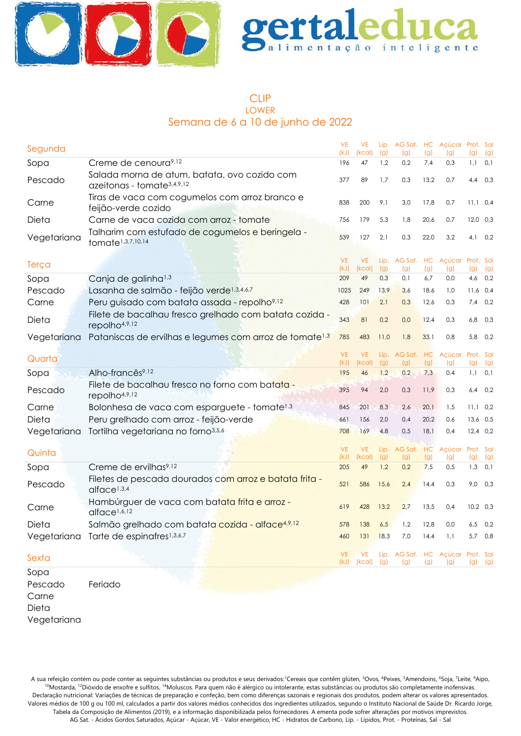

#### CLIP LOWER Semana de 6 a 10 de junho de 2022

| Segunda         |                                                                                          | <b>VE</b><br>(kJ) | <b>VE</b><br>(kcal) | (g)        | Líp. AG Sat. HC Açúcar Prot. Sal<br>(g) | (g)        | (g)                         | (g)        | (g)        |
|-----------------|------------------------------------------------------------------------------------------|-------------------|---------------------|------------|-----------------------------------------|------------|-----------------------------|------------|------------|
| Sopa            | Creme de cenoura <sup>9,12</sup>                                                         | 196               | 47                  | 1,2        | 0,2                                     | 7,4        | 0,3                         | 1,1        | 0,1        |
| Pescado         | Salada morna de atum, batata, ovo cozido com<br>azeitonas - tomate <sup>3,4,9,12</sup>   | 377               | 89                  | 1,7        | 0,3                                     | 13,2       | 0,7                         | 4,4        | 0,3        |
| Carne           | Tiras de vaca com cogumelos com arroz branco e<br>feijão-verde cozido                    | 838               | 200                 | 9,1        | 3,0                                     | 17,8       | 0,7                         | $11,1$ 0,4 |            |
| Dieta           | Carne de vaca cozida com arroz - tomate                                                  | 756               | 179                 | 5,3        | 1,8                                     | 20,6       | 0,7                         | $12,0$ 0,3 |            |
| Vegetariana     | Talharim com estufado de cogumelos e beringela -<br>tomate <sup>1,3,7,10,14</sup>        | 539               | 127                 | 2,1        | 0,3                                     | 22,0       | 3,2                         | 4,1        | 0,2        |
| Terça           |                                                                                          | <b>VE</b>         | <b>VE</b>           |            | Líp. AG Sat. HC Açúcar Prot. Sal        |            |                             |            |            |
|                 |                                                                                          | (kJ)<br>209       | (kcal)<br>49        | (g)<br>0,3 | (g)<br>0,1                              | (g)<br>6,7 | (g)<br>0,0                  | (g)<br>4,6 | (g)<br>0,2 |
| Sopa<br>Pescado | Canja de galinha <sup>1,3</sup><br>Lasanha de salmão - feijão verde <sup>1,3,4,6,7</sup> | 1025              | 249                 | 13,9       | 3,6                                     | 18,6       | 1,0                         | 11,6       | 0,4        |
| Carne           | Peru guisado com batata assada - repolho9,12                                             | 428               | 101                 | 2,1        | 0,3                                     | 12,6       | 0,3                         | 7,4        | 0,2        |
|                 | Filete de bacalhau fresco grelhado com batata cozida -                                   |                   |                     |            |                                         |            |                             |            |            |
| Dieta           | repolho4,9,12                                                                            | 343               | 81                  | 0,2        | 0,0                                     | 12,4       | 0,3                         | 6,8        | 0,3        |
| Vegetariana     | Pataniscas de ervilhas e legumes com arroz de tomate <sup>1,3</sup>                      | 785               | 483                 | 11,0       | 1,8                                     | 33,1       | 0,8                         | 5,8        | 0,2        |
| Quarta          |                                                                                          | <b>VE</b>         | <b>VE</b>           | Líp.       |                                         |            | AG Sat. HC Açúcar Prot. Sal |            |            |
|                 |                                                                                          | (kJ)              | (kcal)              | (g)        | (g)                                     | (g)        | (g)                         | (g)        | (g)        |
| Sopa            | Alho-francês <sup>9,12</sup>                                                             | 195               | 46                  | 1,2        | 0,2                                     | 7,3        | 0,4                         | 1,1        | 0,1        |
| Pescado         | Filete de bacalhau fresco no forno com batata -<br>repolho4,9,12                         | 395               | 94                  | 2,0        | 0,3                                     | 11,9       | 0,3                         | 6,4        | 0,2        |
| Carne           | Bolonhesa de vaca com esparguete - tomate <sup>1,3</sup>                                 | 845               | 201                 | 8,3        | 2,6                                     | 20,1       | 1,5                         | $11,1$ 0,2 |            |
| Dieta           | Peru grelhado com arroz - feijão-verde                                                   | 661               | 156                 | 2,0        | 0,4                                     | 20,2       | 0,6                         | 13,6 0,5   |            |
| Vegetariana     | Tortilha vegetariana no forno <sup>3,5,6</sup>                                           | 708               | 169                 | 4,8        | 0,5                                     | 18,1       | 0,4                         | $12,4$ 0,2 |            |
| Quinta          |                                                                                          | <b>VE</b>         | <b>VE</b>           | Líp.       | AG Sat. HC                              |            | Açúcar Prot. Sal            |            |            |
|                 |                                                                                          | (kJ)              | (kcal)              | (g)        | (g)<br>0,2                              | (g)        | (g)                         | (g)        | (g)        |
| Sopa            | Creme de ervilhas <sup>9,12</sup>                                                        | 205               | 49                  | 1,2        |                                         | 7,5        | 0,5                         | $1,3$ 0,1  |            |
| Pescado         | Filetes de pescada dourados com arroz e batata frita -<br>alface <sup>1,3,4</sup>        | 521               | 586                 | 15,6       | 2,4                                     | 14,4       | 0,3                         | 9,0        | 0,3        |
| Carne           | Hambúrguer de vaca com batata frita e arroz-<br>alface <sup>1,6,12</sup>                 | 619               | 428                 | 13,2       | 2,7                                     | 13,5       | 0,4                         | $10,2$ 0,3 |            |
| Dieta           | Salmão grelhado com batata cozida - alface <sup>4,9,12</sup>                             | 578               | 138                 | 6,5        | 1,2                                     | 12,8       | 0,0                         | $6,5$ 0,2  |            |
|                 | Vegetariana Tarte de espinafres <sup>1,3,6,7</sup>                                       | 460               | 131                 | 18,3       | 7,0                                     | 14,4       | 1,1                         | 5,7        | 0,8        |
|                 |                                                                                          |                   |                     |            |                                         |            |                             |            |            |
| Sexta           |                                                                                          | <b>VE</b><br>(kJ) | <b>VE</b><br>(kcal) | (g)        | Líp. AG Sat. HC Açúcar Prot. Sal<br>(g) | (g)        | (g)                         | (g)        | (g)        |
| Sopa            |                                                                                          |                   |                     |            |                                         |            |                             |            |            |
| Pescado         | Feriado                                                                                  |                   |                     |            |                                         |            |                             |            |            |
| Carne           |                                                                                          |                   |                     |            |                                         |            |                             |            |            |
| Dieta           |                                                                                          |                   |                     |            |                                         |            |                             |            |            |

Vegetariana

A sua refeição contém ou pode conter as seguintes substâncias ou produtos e seus derivados:<sup>1</sup>Cereais que contêm glúten, <sup>3</sup>Ovos, <sup>4</sup>Peixes, <sup>5</sup>Amendoins, <sup>6</sup>Soja, <sup>7</sup>Leite, <sup>9</sup>Aipo, <sup>10</sup>Mostarda, <sup>12</sup>Dióxido de enxofre e sulfitos, <sup>14</sup>Moluscos. Para quem não é alérgico ou intolerante, estas substâncias ou produtos são completamente inofensivas. Declaração nutricional: Variações de técnicas de preparação e confeção, bem como diferenças sazonais e regionais dos produtos, podem alterar os valores apresentados. Valores médios de 100 g ou 100 ml, calculados a partir dos valores médios conhecidos dos ingredientes utilizados, segundo o Instituto Nacional de Saúde Dr. Ricardo Jorge, Tabela da Composição de Alimentos (2019), e a informação disponibilizada pelos fornecedores. A ementa pode sofrer alterações por motivos imprevistos. AG Sat. - Ácidos Gordos Saturados, Açúcar - Açúcar, VE - Valor energético, HC - Hidratos de Carbono, Líp. - Lípidos, Prot. - Proteínas, Sal - Sal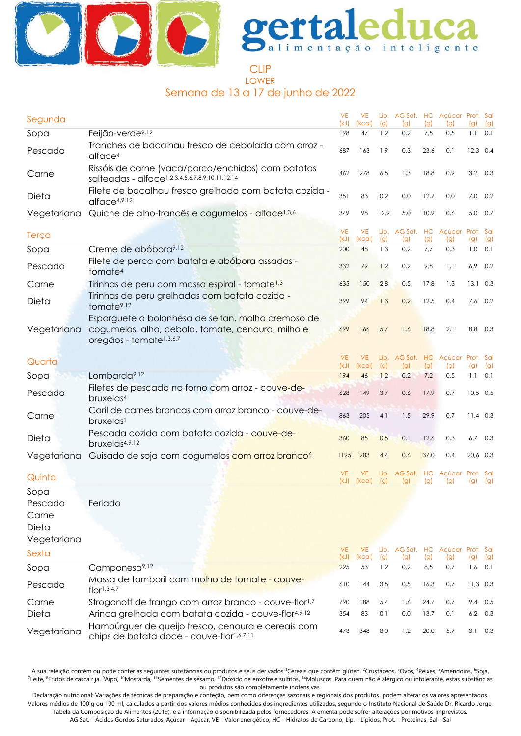



#### **CLIP** LOWER Semana de 13 a 17 de junho de 2022

| Segunda                                                   |                                                                                                                                                | <b>VE</b><br>(kJ) | <b>VE</b><br>(kcal) | (g)         | Líp. AG Sat. HC Açúcar Prot. Sal<br>(g) | (g)  | (g)                     | (g)        | (g)              |
|-----------------------------------------------------------|------------------------------------------------------------------------------------------------------------------------------------------------|-------------------|---------------------|-------------|-----------------------------------------|------|-------------------------|------------|------------------|
| Sopa                                                      | Feijão-verde <sup>9,12</sup>                                                                                                                   | 198               | 47                  | 1,2         | 0,2                                     | 7,5  | 0,5                     | 1,1        | 0,1              |
| Pescado                                                   | Tranches de bacalhau fresco de cebolada com arroz -<br>alface <sup>4</sup>                                                                     | 687               | 163                 | 1,9         | 0,3                                     | 23,6 | 0,1                     | $12,3$ 0.4 |                  |
| Carne                                                     | Rissóis de carne (vaca/porco/enchidos) com batatas<br>salteadas - alface1,2,3,4,5,6,7,8,9,10,11,12,14                                          | 462               | 278                 | 6,5         | 1,3                                     | 18,8 | 0,9                     |            | $3,2$ 0,3        |
| Dieta                                                     | Filete de bacalhau fresco grelhado com batata cozida -<br>alface <sup>4,9,12</sup>                                                             | 351               | 83                  | 0,2         | 0,0                                     | 12,7 | 0,0                     | 7,0        | 0,2              |
| Vegetariana                                               | Quiche de alho-francês e cogumelos - alface <sup>1,3,6</sup>                                                                                   | 349               | 98                  | 12,9        | 5,0                                     | 10,9 | 0,6                     | 5,0        | 0,7              |
| Terça                                                     |                                                                                                                                                | <b>VE</b><br>(kJ) | <b>VE</b><br>(kcal) | Líp.<br>(g) | AG Sat. HC<br>(g)                       | (g)  | Acúcar Prot. Sal<br>(g) | (g)        | (g)              |
| Sopa                                                      | Creme de abóbora <sup>9,12</sup>                                                                                                               | 200               | 48                  | 1,3         | 0,2                                     | 7,7  | 0,3                     | 1,0        | 0,1              |
| Pescado                                                   | Filete de perca com batata e abóbora assadas -<br>tomate <sup>4</sup>                                                                          | 332               | 79                  | 1,2         | 0,2                                     | 9,8  | 1,1                     | 6,9        | 0,2              |
| Carne                                                     | Tirinhas de peru com massa espiral - tomate <sup>1,3</sup>                                                                                     | 635               | 150                 | 2,8         | 0,5                                     | 17,8 | 1,3                     | $13,1$ 0,3 |                  |
| Dieta                                                     | Tirinhas de peru grelhadas com batata cozida -<br>tomate <sup>9,12</sup>                                                                       | 399               | 94                  | 1,3         | 0,2                                     | 12,5 | 0,4                     | 7,6        | 0,2              |
| Vegetariana                                               | Esparguete à bolonhesa de seitan, molho cremoso de<br>cogumelos, alho, cebola, tomate, cenoura, milho e<br>oregãos - tomate <sup>1,3,6,7</sup> | 699               | 166                 | 5,7         | 1,6                                     | 18,8 | 2,1                     | 8,8        | 0,3              |
| Quarta                                                    |                                                                                                                                                | <b>VE</b><br>(kJ) | <b>VE</b><br>(kcal) | (g)         | Líp. AG Sat. HC<br>(g)                  | (g)  | Açúcar Prot. Sal<br>(g) | (g)        | (g)              |
| Sopa                                                      | Lombarda <sup>9,12</sup>                                                                                                                       | 194               | 46                  | 1,2         | 0,2                                     | 7,2  | 0,5                     | 1,1        | 0,1              |
| Pescado                                                   | Filetes de pescada no forno com arroz - couve-de-<br>bruxelas <sup>4</sup>                                                                     | 628               | 149                 | 3,7         | 0,6                                     | 17,9 | 0,7                     | $10,5$ 0.5 |                  |
| Carne                                                     | Caril de carnes brancas com arroz branco - couve-de-<br>bruxelas <sup>1</sup>                                                                  | 863               | 205                 | 4,1         | 1,5                                     | 29,9 | 0,7                     | $11,4$ 0.3 |                  |
| Dieta                                                     | Pescada cozida com batata cozida - couve-de-<br>bruxelas4,9,12                                                                                 | 360               | 85                  | 0,5         | 0,1                                     | 12,6 | 0,3                     | 6,7        | 0,3              |
| Vegetariana                                               | Guisado de soja com cogumelos com arroz branco <sup>6</sup>                                                                                    | 1195              | 283                 | 4,4         | 0,6                                     | 37,0 | 0,4                     | 20,6 0,3   |                  |
| Quinta                                                    |                                                                                                                                                | <b>VE</b><br>(kJ) | VE<br>(kcal)        | Líp.<br>(g) | AG Sat. HC<br>(g)                       | (g)  | Açúcar Prot. Sal<br>(g) | (g)        | (g)              |
| Sopa<br>Pescado<br>Carne<br>Dieta<br>Vegetariana<br>Sexta | Feriado                                                                                                                                        | <b>VE</b><br>(kJ) | <b>VE</b><br>(kcal) | (g)         | Líp. AG Sat. HC Açúcar Prot. Sal<br>(g) | (g)  |                         |            |                  |
| Sopa                                                      | Camponesa <sup>9,12</sup>                                                                                                                      | 225               | 53                  | 1,2         | 0,2                                     | 8,5  | (g)<br>0,7              | (g)        | (g)<br>$1,6$ 0,1 |
| Pescado                                                   | Massa de tamboril com molho de tomate - couve-<br>flor <sup>1,3,4,7</sup>                                                                      | 610               | 144                 | 3,5         | 0,5                                     | 16,3 | 0,7                     | $11,3$ 0,3 |                  |
| Carne                                                     | Strogonoff de frango com arroz branco - couve-flor <sup>1,7</sup>                                                                              | 790               | 188                 | 5,4         | 1,6                                     | 24,7 | 0,7                     |            | $9,4$ 0,5        |
| Dieta                                                     | Arinca grelhada com batata cozida - couve-flor4,9,12                                                                                           | 354               | 83                  | 0,1         | 0,0                                     | 13,7 | 0,1                     | 6,2        | 0,3              |
| Vegetariana                                               | Hambúrguer de queijo fresco, cenoura e cereais com<br>chips de batata doce - couve-flor1,6,7,11                                                | 473               | 348                 | 8,0         | 1,2                                     | 20,0 | 5,7                     |            | $3,1$ 0,3        |

A sua refeição contém ou pode conter as seguintes substâncias ou produtos e seus derivados: Cereais que contêm glúten, <sup>2</sup>Crustáceos, <sup>3</sup>Ovos, <sup>4</sup>Peixes, <sup>5</sup>Amendoins, <sup>6</sup>Soja, <sup>7</sup>Leite, <sup>8</sup>Frutos de casca rija, <sup>9</sup>Aipo, <sup>10</sup>Mostarda, <sup>11</sup>Sementes de sésamo, <sup>12</sup>Dióxido de enxofre e sulfitos, <sup>14</sup>Moluscos. Para quem não é alérgico ou intolerante, estas substâncias ou produtos são completamente inofensivas.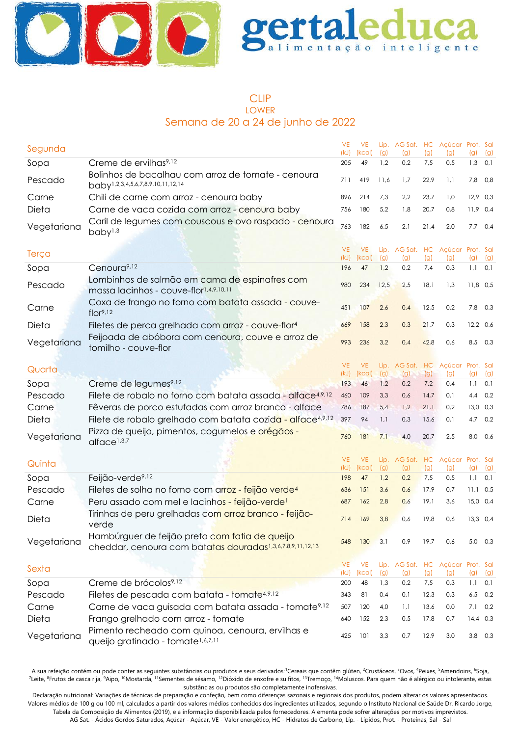

### CLIP LOWER Semana de 20 a 24 de junho de 2022

| Segunda     |                                                                                                             | <b>VE</b><br>(kJ) | <b>VE</b><br>(kcal) | (g)  | Líp. AG Sat. HC<br>(g)                  | (g)  | Açúcar Prot. Sal<br>(g) | (g)              | (g)       |
|-------------|-------------------------------------------------------------------------------------------------------------|-------------------|---------------------|------|-----------------------------------------|------|-------------------------|------------------|-----------|
| Sopa        | Creme de ervilhas <sup>9,12</sup>                                                                           | 205               | 49                  | 1,2  | 0,2                                     | 7,5  | 0,5                     | 1,3              | 0,1       |
| Pescado     | Bolinhos de bacalhau com arroz de tomate - cenoura<br>baby <sup>1,2,3,4,5,6,7,8,9,10,11,12,14</sup>         | 711               | 419                 | 11,6 | 1,7                                     | 22,9 | 1,1                     | 7,8              | 0,8       |
| Carne       | Chili de carne com arroz - cenoura baby                                                                     | 896               | 214                 | 7,3  | 2,2                                     | 23,7 | 1,0                     | $12,9$ 0,3       |           |
| Dieta       | Carne de vaca cozida com arroz - cenoura baby                                                               | 756               | 180                 | 5,2  | 1,8                                     | 20,7 | 0,8                     | $11,9$ 0,4       |           |
| Vegetariana | Caril de legumes com couscous e ovo raspado - cenoura<br>baby <sup>1,3</sup>                                | 763               | 182                 | 6,5  | 2,1                                     | 21,4 | 2,0                     | $7,7$ 0,4        |           |
|             |                                                                                                             | <b>VE</b>         | <b>VE</b>           |      | Líp. AG Sat. HC                         |      | Açúcar Prot. Sal        |                  |           |
| Terça       |                                                                                                             | (kJ)              | (kcal)              | (g)  | (g)                                     | (g)  | (g)                     | (g)              | (g)       |
| Sopa        | Cenoura <sup>9,12</sup>                                                                                     | 196               | 47                  | 1,2  | 0,2                                     | 7,4  | 0,3                     | $1,1$ 0.1        |           |
| Pescado     | Lombinhos de salmão em cama de espinafres com<br>massa lacinhos - couve-flor1,4,9,10,11                     | 980               | 234                 | 12,5 | 2,5                                     | 18,1 | 1,3                     | $11,8$ 0,5       |           |
| Carne       | Coxa de frango no forno com batata assada - couve-<br>flor <sup>9,12</sup>                                  | 451               | 107                 | 2,6  | 0,4                                     | 12,5 | 0,2                     | 7,8              | 0,3       |
| Dieta       | Filetes de perca grelhada com arroz - couve-flor <sup>4</sup>                                               | 669               | 158                 | 2,3  | 0,3                                     | 21,7 | 0,3                     | $12,2$ 0,6       |           |
| Vegetariana | Feijoada de abóbora com cenoura, couve e arroz de<br>tomilho - couve-flor                                   | 993               | 236                 | 3,2  | 0,4                                     | 42,8 | 0,6                     | 8,5 0,3          |           |
|             |                                                                                                             | <b>VE</b>         | <b>VE</b>           | Líp. | AG Sat. HC                              |      | Açúcar Prot. Sal        |                  |           |
| Quarta      |                                                                                                             | (kJ)              | (kcal)              | (g)  | (g)                                     | (g)  | (g)                     | (g)              | (g)       |
| Sopa        | Creme de legumes <sup>9,12</sup>                                                                            | 193               | 46                  | 1,2  | 0,2                                     | 7,2  | 0,4                     | 1,1              | 0,1       |
| Pescado     | Filete de robalo no forno com batata assada - alface4,9,12                                                  | 460               | 109                 | 3,3  | 0,6                                     | 14,7 | 0,1                     | 4,4              | 0,2       |
| Carne       | Fêveras de porco estufadas com arroz branco - alface                                                        | 786               | 187                 | 5,4  | 1,2                                     | 21,1 | 0,2                     | $13,0$ $0,3$     |           |
| Dieta       | Filete de robalo grelhado com batata cozida - alface4,9,12                                                  | 397               | 94                  | 1,1  | 0,3                                     | 15,6 | 0,1                     |                  | 4,7 0,2   |
| Vegetariana | Pizza de queijo, pimentos, cogumelos e orégãos -<br>alface <sup>1,3,7</sup>                                 | 760               | 181                 | 7,1  | 4,0                                     | 20,7 | 2,5                     | 8,0              | 0,6       |
|             |                                                                                                             | <b>VE</b>         | <b>VE</b>           | Líp. | AG Sat. HC                              |      | Açúcar Prot. Sal        |                  |           |
| Quinta      |                                                                                                             | (kJ)              | (kcal)              | (g)  | (g)                                     | (g)  | (g)                     | (g)              | (g)       |
| Sopa        | Feijão-verde <sup>9,12</sup>                                                                                | 198               | 47                  | 1,2  | 0,2                                     | 7,5  | 0,5                     | $1,1$ 0,1        |           |
| Pescado     | Filetes de solha no forno com arroz - feijão verde <sup>4</sup>                                             | 636               | 151                 | 3,6  | 0,6                                     | 17,9 | 0,7                     | $11,1$ 0.5       |           |
| Carne       | Peru assado com mel e lacinhos - feijão-verde <sup>1</sup>                                                  | 687               | 162                 | 2,8  | 0,6                                     | 19,1 | 3,6                     | $15,0$ 0,4       |           |
| Dieta       | Tirinhas de peru grelhadas com arroz branco - feijão-<br>verde                                              | 714               | 169                 | 3,8  | 0,6                                     | 19,8 | 0,6                     | $13.3 \quad 0.4$ |           |
| Vegetariana | Hambúrguer de feijão preto com fatia de queijo<br>cheddar, cenoura com batatas douradas1,3,6,7,8,9,11,12,13 | 548               | 130                 | 3,1  | 0,9                                     | 19,7 | 0,6                     |                  | 5,0 0,3   |
| Sexta       |                                                                                                             | <b>VE</b><br>(kJ) | <b>VE</b><br>(kcal) | (g)  | Líp. AG Sat. HC Açúcar Prot. Sal<br>(g) | (g)  | (g)                     | (g)              | (g)       |
| Sopa        | Creme de brócolos <sup>9,12</sup>                                                                           | 200               | 48                  | 1,3  | 0,2                                     | 7,5  | 0,3                     | 1,1              | 0,1       |
| Pescado     | Filetes de pescada com batata - tomate4,9,12                                                                | 343               | 81                  | 0,4  | 0,1                                     | 12,3 | 0,3                     | 6,5              | 0,2       |
| Carne       | Carne de vaca guisada com batata assada - tomate <sup>9,12</sup>                                            | 507               | 120                 | 4,0  | 1,1                                     | 13,6 | 0,0                     | 7,1              | 0,2       |
| Dieta       | Frango grelhado com arroz - tomate                                                                          | 640               | 152                 | 2,3  | 0,5                                     | 17,8 | 0,7                     | $14,4$ 0,3       |           |
| Vegetariana | Pimento recheado com quinoa, cenoura, ervilhas e<br>queijo gratinado - tomate <sup>1,6,7,11</sup>           | 425               | 101                 | 3,3  | 0,7                                     | 12,9 | 3,0                     |                  | $3,8$ 0,3 |

A sua refeição contém ou pode conter as seguintes substâncias ou produtos e seus derivados: Cereais que contêm glúten, <sup>2</sup>Crustáceos, <sup>3</sup>Ovos, <sup>4</sup>Peixes, <sup>5</sup>Amendoins, <sup>6</sup>Soja, <sup>7</sup>Leite, <sup>8</sup>Frutos de casca rija, <sup>9</sup>Aipo, <sup>10</sup>Mostarda, <sup>11</sup>Sementes de sésamo, <sup>12</sup>Dióxido de enxofre e sulfitos, <sup>13</sup>Tremoço, <sup>14</sup>Moluscos. Para quem não é alérgico ou intolerante, estas substâncias ou produtos são completamente inofensivas.